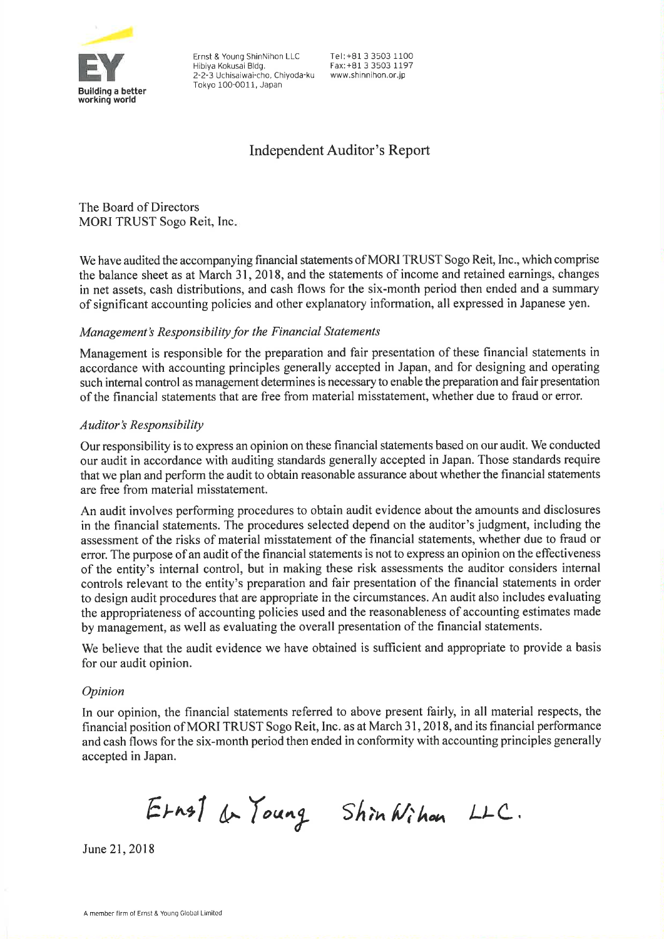

Ernst & Young ShinNihon LLC Hibiya Kokusai Bldg. 2-2-3 Uchisaiwai-cho, Chiyoda-ku Tokyo 100-0011, Japan

Tel: +81 3 3503 1100 Fax: +81 3 3503 1197 www.shinnihon.or.jp

# **Independent Auditor's Report**

The Board of Directors MORI TRUST Sogo Reit, Inc.

We have audited the accompanying financial statements of MORI TRUST Sogo Reit, Inc., which comprise the balance sheet as at March 31, 2018, and the statements of income and retained earnings, changes in net assets, cash distributions, and cash flows for the six-month period then ended and a summary of significant accounting policies and other explanatory information, all expressed in Japanese yen.

## Management's Responsibility for the Financial Statements

Management is responsible for the preparation and fair presentation of these financial statements in accordance with accounting principles generally accepted in Japan, and for designing and operating such internal control as management determines is necessary to enable the preparation and fair presentation of the financial statements that are free from material misstatement, whether due to fraud or error.

## **Auditor's Responsibility**

Our responsibility is to express an opinion on these financial statements based on our audit. We conducted our audit in accordance with auditing standards generally accepted in Japan. Those standards require that we plan and perform the audit to obtain reasonable assurance about whether the financial statements are free from material misstatement.

An audit involves performing procedures to obtain audit evidence about the amounts and disclosures in the financial statements. The procedures selected depend on the auditor's judgment, including the assessment of the risks of material misstatement of the financial statements, whether due to fraud or error. The purpose of an audit of the financial statements is not to express an opinion on the effectiveness of the entity's internal control, but in making these risk assessments the auditor considers internal controls relevant to the entity's preparation and fair presentation of the financial statements in order to design audit procedures that are appropriate in the circumstances. An audit also includes evaluating the appropriateness of accounting policies used and the reasonableness of accounting estimates made by management, as well as evaluating the overall presentation of the financial statements.

We believe that the audit evidence we have obtained is sufficient and appropriate to provide a basis for our audit opinion.

## Opinion

In our opinion, the financial statements referred to above present fairly, in all material respects, the financial position of MORI TRUST Sogo Reit, Inc. as at March 31, 2018, and its financial performance and cash flows for the six-month period then ended in conformity with accounting principles generally accepted in Japan.

Etnal de Young Shin Wihan LLC.

June 21, 2018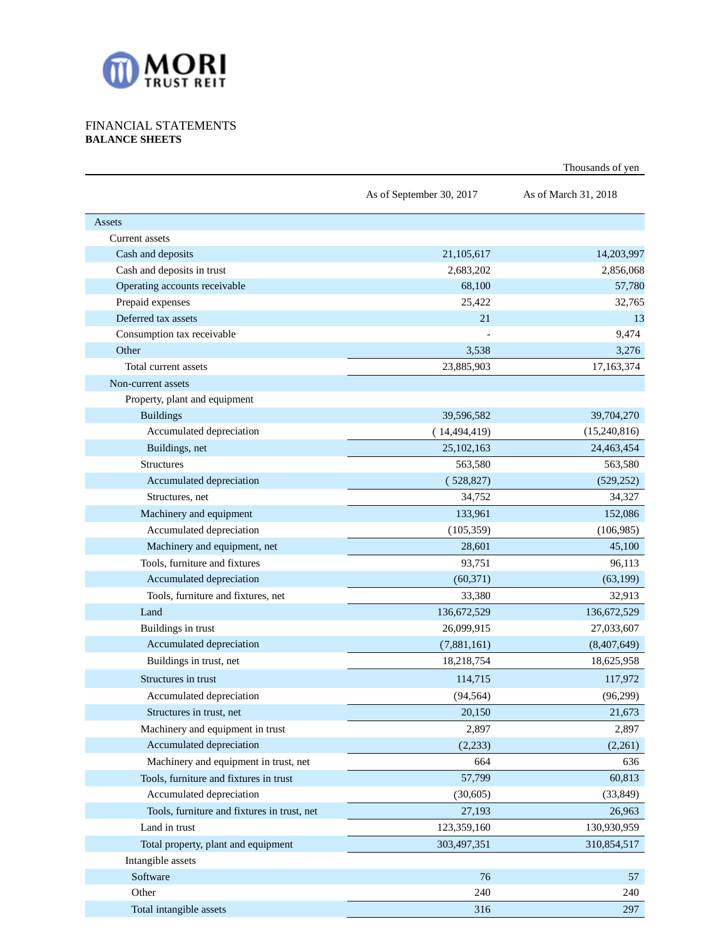

## FINANCIAL STATEMENTS **BALANCE SHEETS**

|                                             |                          | Thousands of yen     |
|---------------------------------------------|--------------------------|----------------------|
|                                             | As of September 30, 2017 | As of March 31, 2018 |
| Assets                                      |                          |                      |
| Current assets                              |                          |                      |
| Cash and deposits                           | 21,105,617               | 14,203,997           |
| Cash and deposits in trust                  | 2,683,202                | 2,856,068            |
| Operating accounts receivable               | 68,100                   | 57,780               |
| Prepaid expenses                            | 25,422                   | 32,765               |
| Deferred tax assets                         | 21                       | 13                   |
| Consumption tax receivable                  |                          | 9,474                |
| Other                                       | 3,538                    | 3,276                |
| Total current assets                        | 23,885,903               | 17,163,374           |
| Non-current assets                          |                          |                      |
| Property, plant and equipment               |                          |                      |
| <b>Buildings</b>                            | 39,596,582               | 39,704,270           |
| Accumulated depreciation                    | (14, 494, 419)           | (15,240,816)         |
| Buildings, net                              | 25,102,163               | 24,463,454           |
| <b>Structures</b>                           | 563,580                  | 563,580              |
| Accumulated depreciation                    | (528, 827)               | (529, 252)           |
| Structures, net                             | 34,752                   | 34,327               |
| Machinery and equipment                     | 133,961                  | 152,086              |
| Accumulated depreciation                    | (105, 359)               | (106, 985)           |
| Machinery and equipment, net                | 28,601                   | 45,100               |
| Tools, furniture and fixtures               | 93,751                   | 96,113               |
| Accumulated depreciation                    | (60, 371)                | (63,199)             |
| Tools, furniture and fixtures, net          | 33,380                   | 32,913               |
| Land                                        | 136,672,529              | 136,672,529          |
| Buildings in trust                          | 26,099,915               | 27,033,607           |
| Accumulated depreciation                    | (7,881,161)              | (8,407,649)          |
| Buildings in trust, net                     | 18,218,754               | 18,625,958           |
| Structures in trust                         | 114,715                  | 117,972              |
| Accumulated depreciation                    | (94,564)                 | (96,299)             |
| Structures in trust, net                    | 20,150                   | 21,673               |
| Machinery and equipment in trust            | 2,897                    | 2,897                |
| Accumulated depreciation                    | (2, 233)                 | (2,261)              |
| Machinery and equipment in trust, net       | 664                      | 636                  |
| Tools, furniture and fixtures in trust      | 57,799                   | 60,813               |
| Accumulated depreciation                    | (30, 605)                | (33, 849)            |
| Tools, furniture and fixtures in trust, net | 27,193                   | 26,963               |
| Land in trust                               | 123,359,160              | 130,930,959          |
| Total property, plant and equipment         | 303,497,351              | 310,854,517          |
| Intangible assets                           |                          |                      |
| Software                                    | 76                       | 57                   |
| Other                                       | 240                      | 240                  |
| Total intangible assets                     | 316                      | 297                  |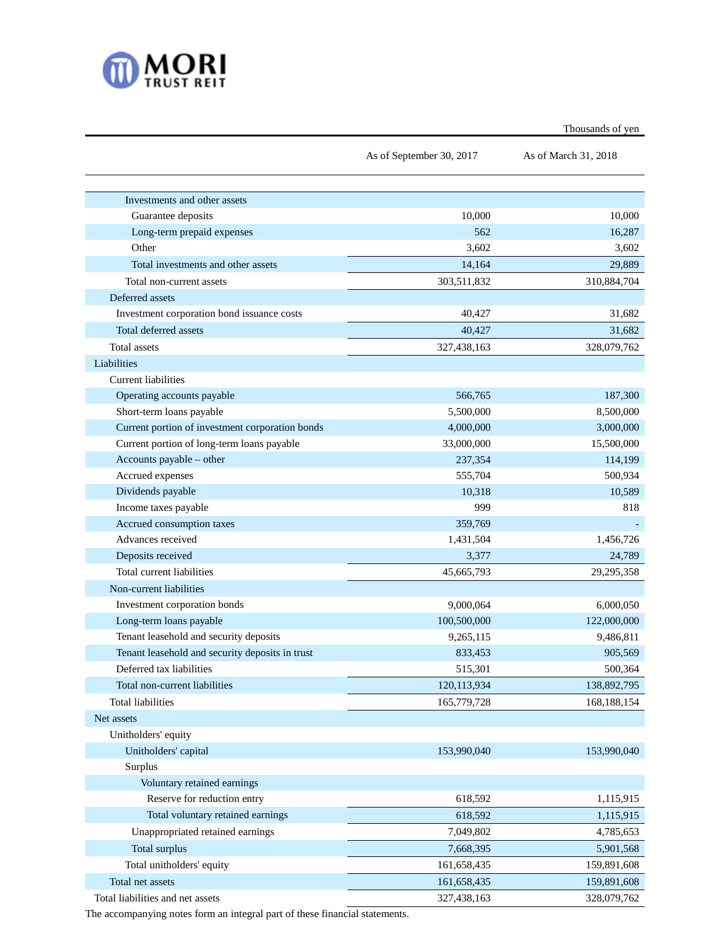

Thousands of yen

|                                                 | As of September 30, 2017 | As of March 31, 2018 |  |
|-------------------------------------------------|--------------------------|----------------------|--|
|                                                 |                          |                      |  |
| Investments and other assets                    |                          |                      |  |
| Guarantee deposits                              | 10,000                   | 10.000               |  |
| Long-term prepaid expenses                      | 562                      | 16,287               |  |
| Other                                           | 3,602                    | 3,602                |  |
| Total investments and other assets              | 14,164                   | 29,889               |  |
| Total non-current assets                        | 303,511,832              | 310,884,704          |  |
| Deferred assets                                 |                          |                      |  |
| Investment corporation bond issuance costs      | 40,427                   | 31,682               |  |
| Total deferred assets                           | 40,427                   | 31,682               |  |
| <b>Total</b> assets                             | 327,438,163              | 328,079,762          |  |
| Liabilities                                     |                          |                      |  |
| <b>Current liabilities</b>                      |                          |                      |  |
| Operating accounts payable                      | 566,765                  | 187,300              |  |
| Short-term loans payable                        | 5,500,000                | 8,500,000            |  |
| Current portion of investment corporation bonds | 4,000,000                | 3,000,000            |  |
| Current portion of long-term loans payable      | 33,000,000               | 15,500,000           |  |
| Accounts payable – other                        | 237,354                  | 114,199              |  |
| Accrued expenses                                | 555,704                  | 500,934              |  |
| Dividends payable                               | 10,318                   | 10,589               |  |
| Income taxes payable                            | 999                      | 818                  |  |
| Accrued consumption taxes                       | 359,769                  |                      |  |
| Advances received                               | 1,431,504                | 1,456,726            |  |
| Deposits received                               | 3,377                    | 24,789               |  |
| Total current liabilities                       | 45,665,793               | 29,295,358           |  |
| Non-current liabilities                         |                          |                      |  |
| Investment corporation bonds                    | 9,000,064                | 6,000,050            |  |
| Long-term loans payable                         | 100,500,000              | 122,000,000          |  |
| Tenant leasehold and security deposits          | 9,265,115                | 9,486,811            |  |
| Tenant leasehold and security deposits in trust | 833,453                  | 905,569              |  |
| Deferred tax liabilities                        | 515,301                  | 500,364              |  |
| Total non-current liabilities                   | 120, 113, 934            | 138,892,795          |  |
| Total liabilities                               | 165,779,728              | 168,188,154          |  |
| Net assets                                      |                          |                      |  |
| Unitholders' equity                             |                          |                      |  |
| Unitholders' capital                            | 153,990,040              | 153,990,040          |  |
| Surplus                                         |                          |                      |  |
| Voluntary retained earnings                     |                          |                      |  |
| Reserve for reduction entry                     | 618,592                  | 1,115,915            |  |
| Total voluntary retained earnings               | 618,592                  | 1,115,915            |  |
| Unappropriated retained earnings                | 7,049,802                | 4,785,653            |  |
| Total surplus                                   | 7,668,395                | 5,901,568            |  |
| Total unitholders' equity                       | 161,658,435              | 159,891,608          |  |
| Total net assets                                | 161,658,435              | 159,891,608          |  |
| Total liabilities and net assets                | 327,438,163              | 328,079,762          |  |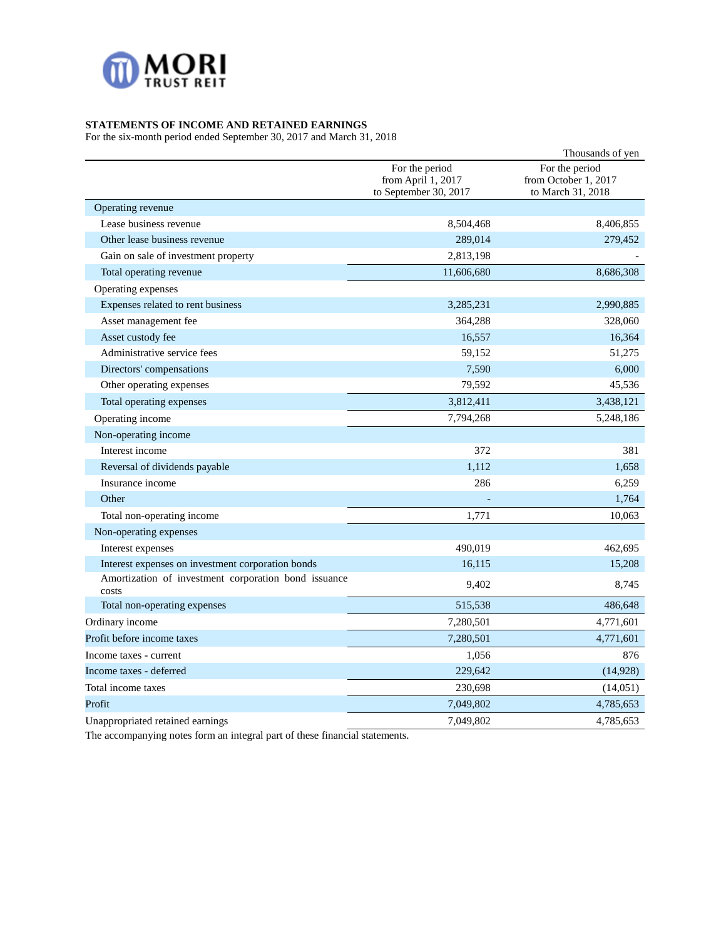

## **STATEMENTS OF INCOME AND RETAINED EARNINGS**

For the six-month period ended September 30, 2017 and March 31, 2018

|                                                               |                                                               | Thousands of yen                                            |
|---------------------------------------------------------------|---------------------------------------------------------------|-------------------------------------------------------------|
|                                                               | For the period<br>from April 1, 2017<br>to September 30, 2017 | For the period<br>from October 1, 2017<br>to March 31, 2018 |
| Operating revenue                                             |                                                               |                                                             |
| Lease business revenue                                        | 8,504,468                                                     | 8,406,855                                                   |
| Other lease business revenue                                  | 289,014                                                       | 279,452                                                     |
| Gain on sale of investment property                           | 2,813,198                                                     |                                                             |
| Total operating revenue                                       | 11,606,680                                                    | 8,686,308                                                   |
| Operating expenses                                            |                                                               |                                                             |
| Expenses related to rent business                             | 3,285,231                                                     | 2,990,885                                                   |
| Asset management fee                                          | 364,288                                                       | 328,060                                                     |
| Asset custody fee                                             | 16,557                                                        | 16,364                                                      |
| Administrative service fees                                   | 59,152                                                        | 51,275                                                      |
| Directors' compensations                                      | 7,590                                                         | 6,000                                                       |
| Other operating expenses                                      | 79,592                                                        | 45,536                                                      |
| Total operating expenses                                      | 3,812,411                                                     | 3,438,121                                                   |
| Operating income                                              | 7,794,268                                                     | 5,248,186                                                   |
| Non-operating income                                          |                                                               |                                                             |
| Interest income                                               | 372                                                           | 381                                                         |
| Reversal of dividends payable                                 | 1,112                                                         | 1,658                                                       |
| Insurance income                                              | 286                                                           | 6,259                                                       |
| Other                                                         |                                                               | 1,764                                                       |
| Total non-operating income                                    | 1,771                                                         | 10,063                                                      |
| Non-operating expenses                                        |                                                               |                                                             |
| Interest expenses                                             | 490,019                                                       | 462,695                                                     |
| Interest expenses on investment corporation bonds             | 16,115                                                        | 15,208                                                      |
| Amortization of investment corporation bond issuance<br>costs | 9,402                                                         | 8,745                                                       |
| Total non-operating expenses                                  | 515,538                                                       | 486,648                                                     |
| Ordinary income                                               | 7,280,501                                                     | 4,771,601                                                   |
| Profit before income taxes                                    | 7,280,501                                                     | 4,771,601                                                   |
| Income taxes - current                                        | 1,056                                                         | 876                                                         |
| Income taxes - deferred                                       | 229,642                                                       | (14,928)                                                    |
| Total income taxes                                            | 230,698                                                       | (14,051)                                                    |
| Profit                                                        | 7,049,802                                                     | 4,785,653                                                   |
| Unappropriated retained earnings                              | 7,049,802                                                     | 4,785,653                                                   |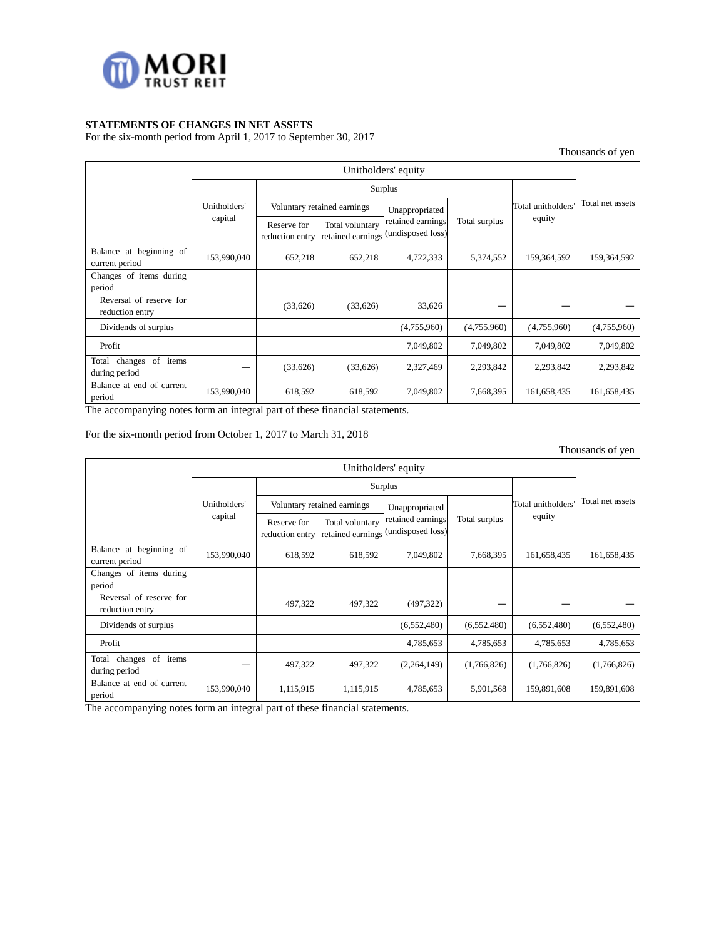

## **STATEMENTS OF CHANGES IN NET ASSETS**

For the six-month period from April 1, 2017 to September 30, 2017

Thousands of yen

| Unitholders' equity                           |              |                                |                                      |                                        |               |                    |                  |
|-----------------------------------------------|--------------|--------------------------------|--------------------------------------|----------------------------------------|---------------|--------------------|------------------|
|                                               |              | Surplus                        |                                      |                                        |               |                    |                  |
|                                               | Unitholders' | Voluntary retained earnings    |                                      | Unappropriated                         |               | Total unitholders' | Total net assets |
|                                               | capital      | Reserve for<br>reduction entry | Total voluntary<br>retained earnings | retained earnings<br>(undisposed loss) | Total surplus | equity             |                  |
| Balance at beginning of<br>current period     | 153,990,040  | 652,218                        | 652,218                              | 4,722,333                              | 5,374,552     | 159,364,592        | 159,364,592      |
| Changes of items during<br>period             |              |                                |                                      |                                        |               |                    |                  |
| Reversal of reserve for<br>reduction entry    |              | (33,626)                       | (33, 626)                            | 33,626                                 |               |                    |                  |
| Dividends of surplus                          |              |                                |                                      | (4,755,960)                            | (4,755,960)   | (4,755,960)        | (4,755,960)      |
| Profit                                        |              |                                |                                      | 7,049,802                              | 7,049,802     | 7,049,802          | 7,049,802        |
| Total changes<br>of<br>items<br>during period |              | (33,626)                       | (33,626)                             | 2,327,469                              | 2,293,842     | 2,293,842          | 2,293,842        |
| Balance at end of current<br>period           | 153,990,040  | 618,592                        | 618,592                              | 7,049,802                              | 7,668,395     | 161,658,435        | 161,658,435      |

The accompanying notes form an integral part of these financial statements.

For the six-month period from October 1, 2017 to March 31, 2018

|                                                  |              |                                |                                      |                                        |                                                                                                                                                                       |                   | Thousands of yen |  |
|--------------------------------------------------|--------------|--------------------------------|--------------------------------------|----------------------------------------|-----------------------------------------------------------------------------------------------------------------------------------------------------------------------|-------------------|------------------|--|
|                                                  |              |                                |                                      | Unitholders' equity                    |                                                                                                                                                                       |                   |                  |  |
|                                                  | Surplus      |                                |                                      |                                        |                                                                                                                                                                       |                   |                  |  |
|                                                  | Unitholders' | Voluntary retained earnings    |                                      | Unappropriated                         |                                                                                                                                                                       | Total unitholders | Total net assets |  |
|                                                  | capital      | Reserve for<br>reduction entry | Total voluntary<br>retained earnings | retained earnings<br>(undisposed loss) | equity<br>Total surplus<br>7,668,395<br>161,658,435<br>(6,552,480)<br>(6,552,480)<br>4,785,653<br>4,785,653<br>(1,766,826)<br>(1,766,826)<br>5,901,568<br>159,891,608 |                   |                  |  |
| Balance at beginning of<br>current period        | 153,990,040  | 618,592                        | 618,592                              | 7,049,802                              |                                                                                                                                                                       |                   | 161,658,435      |  |
| Changes of items during<br>period                |              |                                |                                      |                                        |                                                                                                                                                                       |                   |                  |  |
| Reversal of reserve for<br>reduction entry       |              | 497,322                        | 497,322                              | (497, 322)                             |                                                                                                                                                                       |                   |                  |  |
| Dividends of surplus                             |              |                                |                                      | (6,552,480)                            |                                                                                                                                                                       |                   | (6,552,480)      |  |
| Profit                                           |              |                                |                                      | 4,785,653                              |                                                                                                                                                                       |                   | 4,785,653        |  |
| of<br>Total<br>changes<br>items<br>during period |              | 497,322                        | 497,322                              | (2,264,149)                            |                                                                                                                                                                       |                   | (1,766,826)      |  |
| Balance at end of current<br>period              | 153,990,040  | 1,115,915                      | 1,115,915                            | 4,785,653                              |                                                                                                                                                                       |                   | 159,891,608      |  |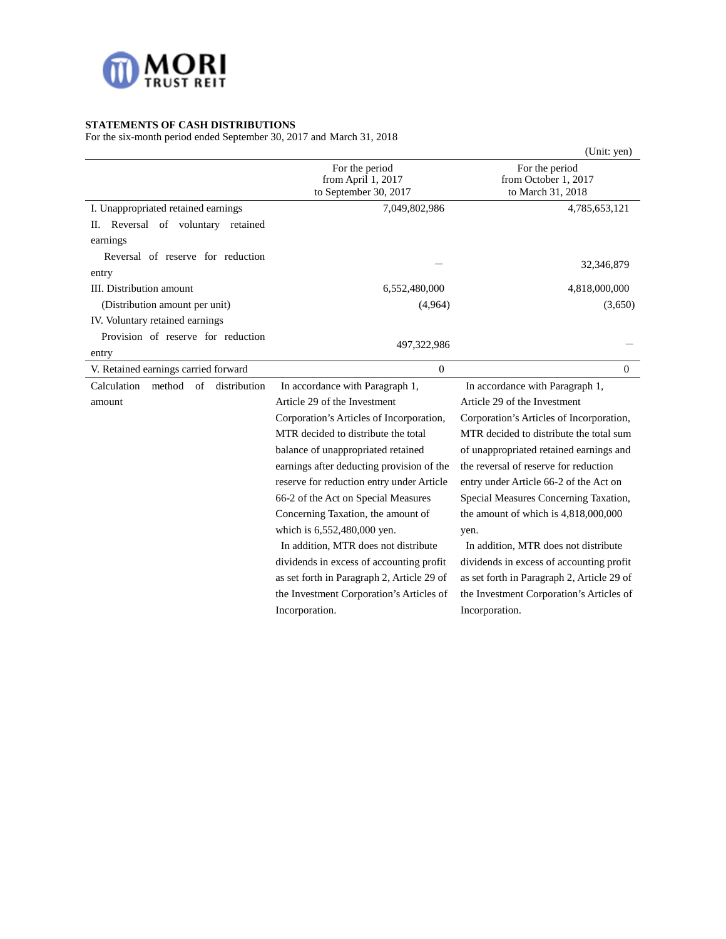

## **STATEMENTS OF CASH DISTRIBUTIONS**

For the six-month period ended September 30, 2017 and March 31, 2018

|                                             |                                                               | (Unit: yen)                                                 |
|---------------------------------------------|---------------------------------------------------------------|-------------------------------------------------------------|
|                                             | For the period<br>from April 1, 2017<br>to September 30, 2017 | For the period<br>from October 1, 2017<br>to March 31, 2018 |
| I. Unappropriated retained earnings         | 7,049,802,986                                                 | 4,785,653,121                                               |
| Reversal of voluntary retained<br>П.        |                                                               |                                                             |
| earnings                                    |                                                               |                                                             |
| Reversal of reserve for reduction           |                                                               |                                                             |
| entry                                       |                                                               | 32,346,879                                                  |
| III. Distribution amount                    | 6,552,480,000                                                 | 4,818,000,000                                               |
| (Distribution amount per unit)              | (4,964)                                                       | (3,650)                                                     |
| IV. Voluntary retained earnings             |                                                               |                                                             |
| Provision of reserve for reduction          |                                                               |                                                             |
| entry                                       | 497,322,986                                                   |                                                             |
| V. Retained earnings carried forward        | $\theta$                                                      | $\Omega$                                                    |
| Calculation<br>method<br>of<br>distribution | In accordance with Paragraph 1,                               | In accordance with Paragraph 1,                             |
| amount                                      | Article 29 of the Investment                                  | Article 29 of the Investment                                |
|                                             | Corporation's Articles of Incorporation,                      | Corporation's Articles of Incorporation,                    |
|                                             | MTR decided to distribute the total                           | MTR decided to distribute the total sum                     |
|                                             | balance of unappropriated retained                            | of unappropriated retained earnings and                     |
|                                             | earnings after deducting provision of the                     | the reversal of reserve for reduction                       |
|                                             | reserve for reduction entry under Article                     | entry under Article 66-2 of the Act on                      |
|                                             | 66-2 of the Act on Special Measures                           | Special Measures Concerning Taxation,                       |
|                                             | Concerning Taxation, the amount of                            | the amount of which is 4,818,000,000                        |
|                                             | which is 6,552,480,000 yen.                                   | yen.                                                        |
|                                             | In addition, MTR does not distribute                          | In addition, MTR does not distribute                        |
|                                             | dividends in excess of accounting profit                      | dividends in excess of accounting profit                    |
|                                             | as set forth in Paragraph 2, Article 29 of                    | as set forth in Paragraph 2, Article 29 of                  |
|                                             | the Investment Corporation's Articles of                      | the Investment Corporation's Articles of                    |
|                                             | Incorporation.                                                | Incorporation.                                              |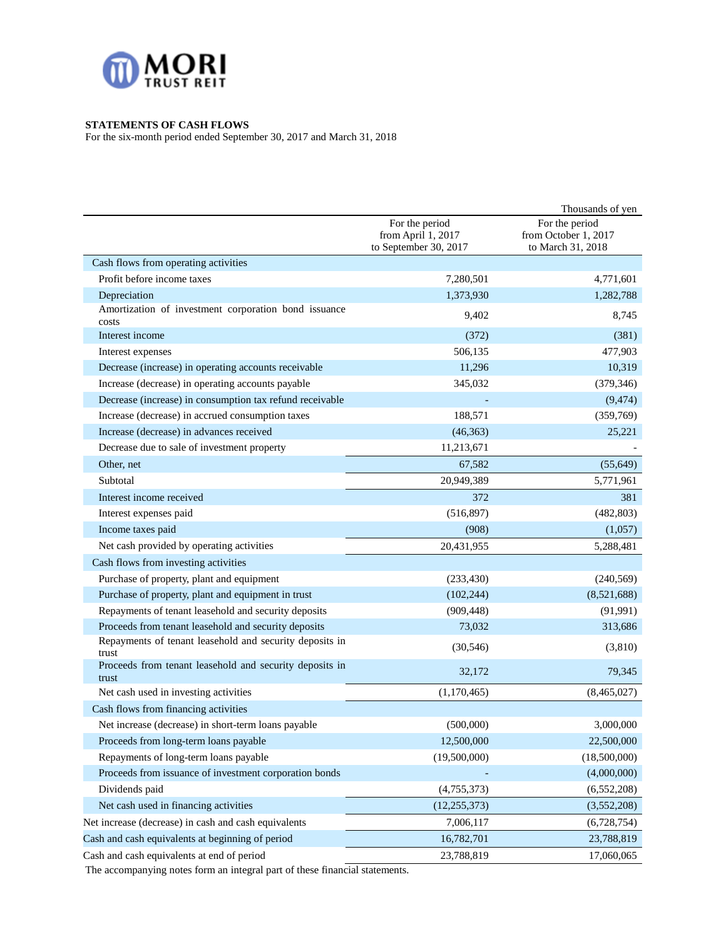

## **STATEMENTS OF CASH FLOWS**

For the six-month period ended September 30, 2017 and March 31, 2018

|                                                                  |                                                               | Thousands of yen                                            |
|------------------------------------------------------------------|---------------------------------------------------------------|-------------------------------------------------------------|
|                                                                  | For the period<br>from April 1, 2017<br>to September 30, 2017 | For the period<br>from October 1, 2017<br>to March 31, 2018 |
| Cash flows from operating activities                             |                                                               |                                                             |
| Profit before income taxes                                       | 7,280,501                                                     | 4,771,601                                                   |
| Depreciation                                                     | 1,373,930                                                     | 1,282,788                                                   |
| Amortization of investment corporation bond issuance<br>costs    | 9,402                                                         | 8,745                                                       |
| Interest income                                                  | (372)                                                         | (381)                                                       |
| Interest expenses                                                | 506,135                                                       | 477,903                                                     |
| Decrease (increase) in operating accounts receivable             | 11,296                                                        | 10,319                                                      |
| Increase (decrease) in operating accounts payable                | 345,032                                                       | (379, 346)                                                  |
| Decrease (increase) in consumption tax refund receivable         |                                                               | (9, 474)                                                    |
| Increase (decrease) in accrued consumption taxes                 | 188,571                                                       | (359,769)                                                   |
| Increase (decrease) in advances received                         | (46,363)                                                      | 25,221                                                      |
| Decrease due to sale of investment property                      | 11,213,671                                                    |                                                             |
| Other, net                                                       | 67,582                                                        | (55, 649)                                                   |
| Subtotal                                                         | 20,949,389                                                    | 5,771,961                                                   |
| Interest income received                                         | 372                                                           | 381                                                         |
| Interest expenses paid                                           | (516, 897)                                                    | (482, 803)                                                  |
| Income taxes paid                                                | (908)                                                         | (1,057)                                                     |
| Net cash provided by operating activities                        | 20,431,955                                                    | 5,288,481                                                   |
| Cash flows from investing activities                             |                                                               |                                                             |
| Purchase of property, plant and equipment                        | (233, 430)                                                    | (240, 569)                                                  |
| Purchase of property, plant and equipment in trust               | (102, 244)                                                    | (8,521,688)                                                 |
| Repayments of tenant leasehold and security deposits             | (909, 448)                                                    | (91, 991)                                                   |
| Proceeds from tenant leasehold and security deposits             | 73,032                                                        | 313,686                                                     |
| Repayments of tenant leasehold and security deposits in<br>trust | (30, 546)                                                     | (3,810)                                                     |
| Proceeds from tenant leasehold and security deposits in<br>trust | 32,172                                                        | 79,345                                                      |
| Net cash used in investing activities                            | (1,170,465)                                                   | (8,465,027)                                                 |
| Cash flows from financing activities                             |                                                               |                                                             |
| Net increase (decrease) in short-term loans payable              | (500,000)                                                     | 3,000,000                                                   |
| Proceeds from long-term loans payable                            | 12,500,000                                                    | 22,500,000                                                  |
| Repayments of long-term loans payable                            | (19,500,000)                                                  | (18,500,000)                                                |
| Proceeds from issuance of investment corporation bonds           |                                                               | (4,000,000)                                                 |
| Dividends paid                                                   | (4,755,373)                                                   | (6, 552, 208)                                               |
| Net cash used in financing activities                            | (12, 255, 373)                                                | (3,552,208)                                                 |
| Net increase (decrease) in cash and cash equivalents             | 7,006,117                                                     | (6,728,754)                                                 |
| Cash and cash equivalents at beginning of period                 | 16,782,701                                                    | 23,788,819                                                  |
| Cash and cash equivalents at end of period                       | 23,788,819                                                    | 17,060,065                                                  |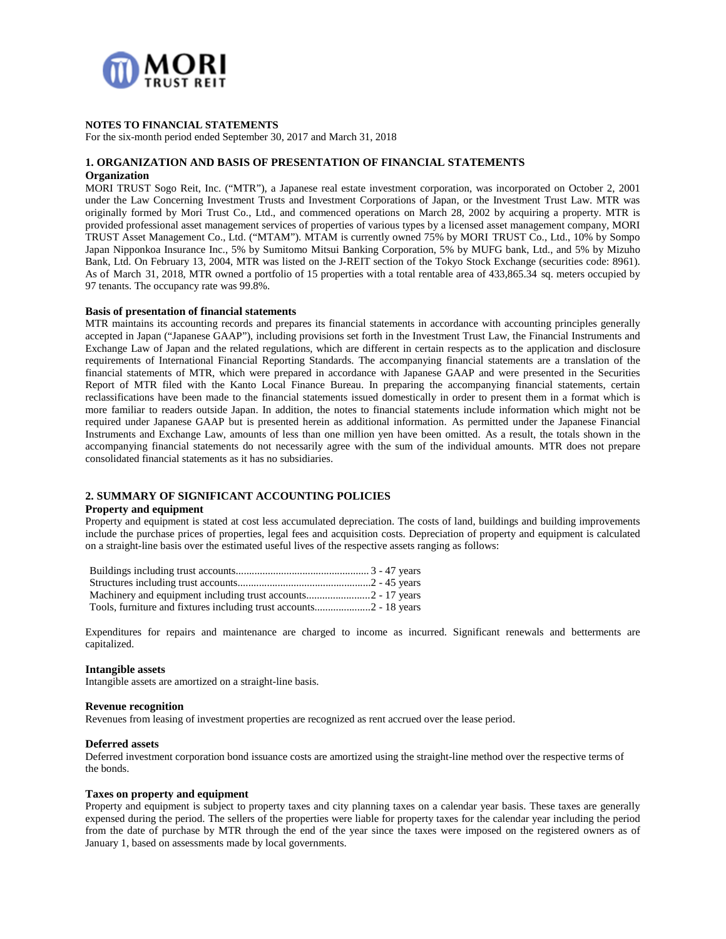

### **NOTES TO FINANCIAL STATEMENTS**

For the six-month period ended September 30, 2017 and March 31, 2018

### **1. ORGANIZATION AND BASIS OF PRESENTATION OF FINANCIAL STATEMENTS Organization**

MORI TRUST Sogo Reit, Inc. ("MTR"), a Japanese real estate investment corporation, was incorporated on October 2, 2001 under the Law Concerning Investment Trusts and Investment Corporations of Japan, or the Investment Trust Law. MTR was originally formed by Mori Trust Co., Ltd., and commenced operations on March 28, 2002 by acquiring a property. MTR is provided professional asset management services of properties of various types by a licensed asset management company, MORI TRUST Asset Management Co., Ltd. ("MTAM"). MTAM is currently owned 75% by MORI TRUST Co., Ltd., 10% by Sompo Japan Nipponkoa Insurance Inc., 5% by Sumitomo Mitsui Banking Corporation, 5% by MUFG bank, Ltd., and 5% by Mizuho Bank, Ltd. On February 13, 2004, MTR was listed on the J-REIT section of the Tokyo Stock Exchange (securities code: 8961). As of March 31, 2018, MTR owned a portfolio of 15 properties with a total rentable area of 433,865.34 sq. meters occupied by 97 tenants. The occupancy rate was 99.8%.

#### **Basis of presentation of financial statements**

MTR maintains its accounting records and prepares its financial statements in accordance with accounting principles generally accepted in Japan ("Japanese GAAP"), including provisions set forth in the Investment Trust Law, the Financial Instruments and Exchange Law of Japan and the related regulations, which are different in certain respects as to the application and disclosure requirements of International Financial Reporting Standards. The accompanying financial statements are a translation of the financial statements of MTR, which were prepared in accordance with Japanese GAAP and were presented in the Securities Report of MTR filed with the Kanto Local Finance Bureau. In preparing the accompanying financial statements, certain reclassifications have been made to the financial statements issued domestically in order to present them in a format which is more familiar to readers outside Japan. In addition, the notes to financial statements include information which might not be required under Japanese GAAP but is presented herein as additional information. As permitted under the Japanese Financial Instruments and Exchange Law, amounts of less than one million yen have been omitted. As a result, the totals shown in the accompanying financial statements do not necessarily agree with the sum of the individual amounts. MTR does not prepare consolidated financial statements as it has no subsidiaries.

### **2. SUMMARY OF SIGNIFICANT ACCOUNTING POLICIES**

#### **Property and equipment**

Property and equipment is stated at cost less accumulated depreciation. The costs of land, buildings and building improvements include the purchase prices of properties, legal fees and acquisition costs. Depreciation of property and equipment is calculated on a straight-line basis over the estimated useful lives of the respective assets ranging as follows:

Expenditures for repairs and maintenance are charged to income as incurred. Significant renewals and betterments are capitalized.

#### **Intangible assets**

Intangible assets are amortized on a straight-line basis.

#### **Revenue recognition**

Revenues from leasing of investment properties are recognized as rent accrued over the lease period.

#### **Deferred assets**

Deferred investment corporation bond issuance costs are amortized using the straight-line method over the respective terms of the bonds.

#### **Taxes on property and equipment**

Property and equipment is subject to property taxes and city planning taxes on a calendar year basis. These taxes are generally expensed during the period. The sellers of the properties were liable for property taxes for the calendar year including the period from the date of purchase by MTR through the end of the year since the taxes were imposed on the registered owners as of January 1, based on assessments made by local governments.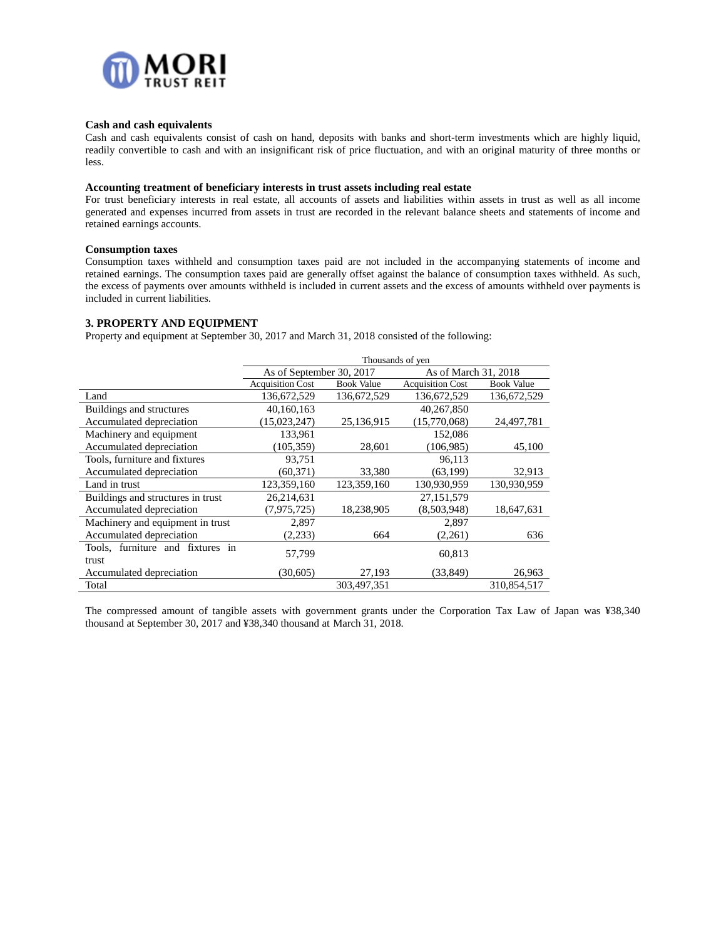

#### **Cash and cash equivalents**

Cash and cash equivalents consist of cash on hand, deposits with banks and short-term investments which are highly liquid, readily convertible to cash and with an insignificant risk of price fluctuation, and with an original maturity of three months or less.

#### **Accounting treatment of beneficiary interests in trust assets including real estate**

For trust beneficiary interests in real estate, all accounts of assets and liabilities within assets in trust as well as all income generated and expenses incurred from assets in trust are recorded in the relevant balance sheets and statements of income and retained earnings accounts.

#### **Consumption taxes**

Consumption taxes withheld and consumption taxes paid are not included in the accompanying statements of income and retained earnings. The consumption taxes paid are generally offset against the balance of consumption taxes withheld. As such, the excess of payments over amounts withheld is included in current assets and the excess of amounts withheld over payments is included in current liabilities.

#### **3. PROPERTY AND EQUIPMENT**

Property and equipment at September 30, 2017 and March 31, 2018 consisted of the following:

|                                   |                          | Thousands of yen  |                         |                   |  |  |  |
|-----------------------------------|--------------------------|-------------------|-------------------------|-------------------|--|--|--|
|                                   | As of September 30, 2017 |                   | As of March 31, 2018    |                   |  |  |  |
|                                   | <b>Acquisition Cost</b>  | <b>Book Value</b> | <b>Acquisition Cost</b> | <b>Book Value</b> |  |  |  |
| Land                              | 136,672,529              | 136,672,529       | 136,672,529             | 136,672,529       |  |  |  |
| Buildings and structures          | 40,160,163               |                   | 40,267,850              |                   |  |  |  |
| Accumulated depreciation          | (15,023,247)             | 25,136,915        | (15,770,068)            | 24,497,781        |  |  |  |
| Machinery and equipment           | 133.961                  |                   | 152,086                 |                   |  |  |  |
| Accumulated depreciation          | (105, 359)               | 28,601            | (106,985)               | 45,100            |  |  |  |
| Tools, furniture and fixtures     | 93,751                   |                   | 96.113                  |                   |  |  |  |
| Accumulated depreciation          | (60, 371)                | 33,380            | (63,199)                | 32,913            |  |  |  |
| Land in trust                     | 123,359,160              | 123,359,160       | 130,930,959             | 130,930,959       |  |  |  |
| Buildings and structures in trust | 26,214,631               |                   | 27,151,579              |                   |  |  |  |
| Accumulated depreciation          | (7, 975, 725)            | 18,238,905        | (8,503,948)             | 18,647,631        |  |  |  |
| Machinery and equipment in trust  | 2,897                    |                   | 2,897                   |                   |  |  |  |
| Accumulated depreciation          | (2,233)                  | 664               | (2,261)                 | 636               |  |  |  |
| Tools, furniture and fixtures in  |                          |                   |                         |                   |  |  |  |
| trust                             | 57,799                   |                   | 60,813                  |                   |  |  |  |
| Accumulated depreciation          | (30,605)                 | 27,193            | (33, 849)               | 26,963            |  |  |  |
| Total                             |                          | 303,497,351       |                         | 310,854,517       |  |  |  |

The compressed amount of tangible assets with government grants under the Corporation Tax Law of Japan was ¥38,340 thousand at September 30, 2017 and ¥38,340 thousand at March 31, 2018.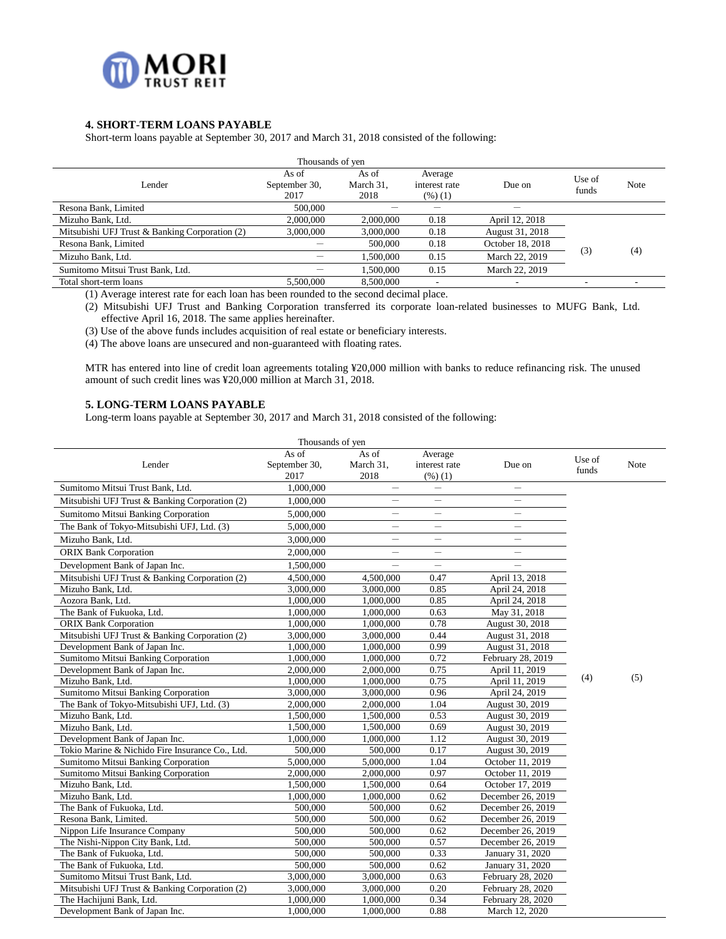

## **4. SHORT**-**TERM LOANS PAYABLE**

Short-term loans payable at September 30, 2017 and March 31, 2018 consisted of the following:

| Thousands of yen                               |                                |                            |                                     |                  |                 |      |
|------------------------------------------------|--------------------------------|----------------------------|-------------------------------------|------------------|-----------------|------|
| Lender                                         | As of<br>September 30,<br>2017 | As of<br>March 31,<br>2018 | Average<br>interest rate<br>(96)(1) | Due on           | Use of<br>funds | Note |
| Resona Bank, Limited                           | 500,000                        |                            |                                     |                  |                 |      |
| Mizuho Bank, Ltd.                              | 2,000,000                      | 2,000,000                  | 0.18                                | April 12, 2018   |                 |      |
| Mitsubishi UFJ Trust & Banking Corporation (2) | 3,000,000                      | 3,000,000                  | 0.18                                | August 31, 2018  |                 |      |
| Resona Bank, Limited                           |                                | 500,000                    | 0.18                                | October 18, 2018 |                 |      |
| Mizuho Bank, Ltd.                              |                                | 1.500.000                  | 0.15                                | March 22, 2019   | (3)             | (4)  |
| Sumitomo Mitsui Trust Bank, Ltd.               |                                | 1.500.000                  | 0.15                                | March 22, 2019   |                 |      |
| Total short-term loans                         | 5,500,000                      | 8.500,000                  |                                     | ۰                |                 |      |

(1) Average interest rate for each loan has been rounded to the second decimal place.

(2) Mitsubishi UFJ Trust and Banking Corporation transferred its corporate loan-related businesses to MUFG Bank, Ltd. effective April 16, 2018. The same applies hereinafter.

(3) Use of the above funds includes acquisition of real estate or beneficiary interests.

(4) The above loans are unsecured and non-guaranteed with floating rates.

MTR has entered into line of credit loan agreements totaling ¥20,000 million with banks to reduce refinancing risk. The unused amount of such credit lines was ¥20,000 million at March 31, 2018.

### **5. LONG**-**TERM LOANS PAYABLE**

Long-term loans payable at September 30, 2017 and March 31, 2018 consisted of the following:

| Thousands of yen                                |               |                          |                          |                          |        |      |
|-------------------------------------------------|---------------|--------------------------|--------------------------|--------------------------|--------|------|
|                                                 | As of         | As of                    | Average                  |                          | Use of |      |
| Lender                                          | September 30, | March 31,                | interest rate            | Due on                   | funds  | Note |
|                                                 | 2017          | 2018                     | (%) (1)                  |                          |        |      |
| Sumitomo Mitsui Trust Bank, Ltd.                | 1,000,000     |                          | $\overline{\phantom{0}}$ |                          |        |      |
| Mitsubishi UFJ Trust & Banking Corporation (2)  | 1,000,000     | $\overline{\phantom{0}}$ | $\overline{\phantom{0}}$ |                          |        |      |
| Sumitomo Mitsui Banking Corporation             | 5,000,000     |                          | $\overline{\phantom{0}}$ |                          |        |      |
| The Bank of Tokyo-Mitsubishi UFJ, Ltd. (3)      | 5,000,000     |                          | $\overline{\phantom{0}}$ |                          |        |      |
| Mizuho Bank, Ltd.                               | 3,000,000     |                          |                          | $\overline{\phantom{0}}$ |        |      |
| <b>ORIX Bank Corporation</b>                    | 2,000,000     |                          | $\overline{\phantom{0}}$ | $\overline{\phantom{0}}$ |        |      |
| Development Bank of Japan Inc.                  | 1,500,000     |                          | $\overline{\phantom{0}}$ |                          |        |      |
| Mitsubishi UFJ Trust & Banking Corporation (2)  | 4,500,000     | 4,500,000                | 0.47                     | April 13, 2018           |        |      |
| Mizuho Bank, Ltd.                               | 3,000,000     | 3,000,000                | 0.85                     | April 24, 2018           |        |      |
| Aozora Bank, Ltd.                               | 1,000,000     | 1,000,000                | 0.85                     | April 24, 2018           |        |      |
| The Bank of Fukuoka, Ltd.                       | 1,000,000     | 1,000,000                | 0.63                     | May 31, 2018             |        |      |
| <b>ORIX Bank Corporation</b>                    | 1,000,000     | 1,000,000                | 0.78                     | August 30, 2018          |        |      |
| Mitsubishi UFJ Trust & Banking Corporation (2)  | 3,000,000     | 3,000,000                | 0.44                     | August 31, 2018          |        |      |
| Development Bank of Japan Inc.                  | 1,000,000     | 1,000,000                | 0.99                     | August 31, 2018          |        |      |
| Sumitomo Mitsui Banking Corporation             | 1,000,000     | 1,000,000                | 0.72                     | February 28, 2019        |        |      |
| Development Bank of Japan Inc.                  | 2,000,000     | 2,000,000                | 0.75                     | April 11, 2019           |        |      |
| Mizuho Bank, Ltd.                               | 1,000,000     | 1,000,000                | 0.75                     | April 11, 2019           | (4)    | (5)  |
| Sumitomo Mitsui Banking Corporation             | 3,000,000     | 3,000,000                | 0.96                     | April 24, 2019           |        |      |
| The Bank of Tokyo-Mitsubishi UFJ, Ltd. (3)      | 2,000,000     | 2,000,000                | 1.04                     | August 30, 2019          |        |      |
| Mizuho Bank, Ltd.                               | 1,500,000     | 1,500,000                | 0.53                     | August 30, 2019          |        |      |
| Mizuho Bank, Ltd.                               | 1,500,000     | 1,500,000                | 0.69                     | August 30, 2019          |        |      |
| Development Bank of Japan Inc.                  | 1,000,000     | 1,000,000                | 1.12                     | August 30, 2019          |        |      |
| Tokio Marine & Nichido Fire Insurance Co., Ltd. | 500,000       | 500,000                  | 0.17                     | August 30, 2019          |        |      |
| Sumitomo Mitsui Banking Corporation             | 5,000,000     | 5,000,000                | 1.04                     | October 11, 2019         |        |      |
| Sumitomo Mitsui Banking Corporation             | 2,000,000     | 2,000,000                | 0.97                     | October 11, 2019         |        |      |
| Mizuho Bank, Ltd.                               | 1,500,000     | 1,500,000                | 0.64                     | October 17, 2019         |        |      |
| Mizuho Bank, Ltd.                               | 1,000,000     | 1,000,000                | 0.62                     | December 26, 2019        |        |      |
| The Bank of Fukuoka, Ltd.                       | 500,000       | 500,000                  | 0.62                     | December 26, 2019        |        |      |
| Resona Bank, Limited.                           | 500,000       | 500,000                  | 0.62                     | December 26, 2019        |        |      |
| Nippon Life Insurance Company                   | 500,000       | 500,000                  | 0.62                     | December 26, 2019        |        |      |
| The Nishi-Nippon City Bank, Ltd.                | 500,000       | 500,000                  | 0.57                     | December 26, 2019        |        |      |
| The Bank of Fukuoka, Ltd.                       | 500,000       | 500,000                  | 0.33                     | January 31, 2020         |        |      |
| The Bank of Fukuoka, Ltd.                       | 500,000       | 500,000                  | 0.62                     | January 31, 2020         |        |      |
| Sumitomo Mitsui Trust Bank, Ltd.                | 3,000,000     | 3,000,000                | 0.63                     | February 28, 2020        |        |      |
| Mitsubishi UFJ Trust & Banking Corporation (2)  | 3,000,000     | 3,000,000                | 0.20                     | February 28, 2020        |        |      |
| The Hachijuni Bank, Ltd.                        | 1,000,000     | 1,000,000                | 0.34                     | February 28, 2020        |        |      |
| Development Bank of Japan Inc.                  | 1,000,000     | 1.000.000                | 0.88                     | March 12, 2020           |        |      |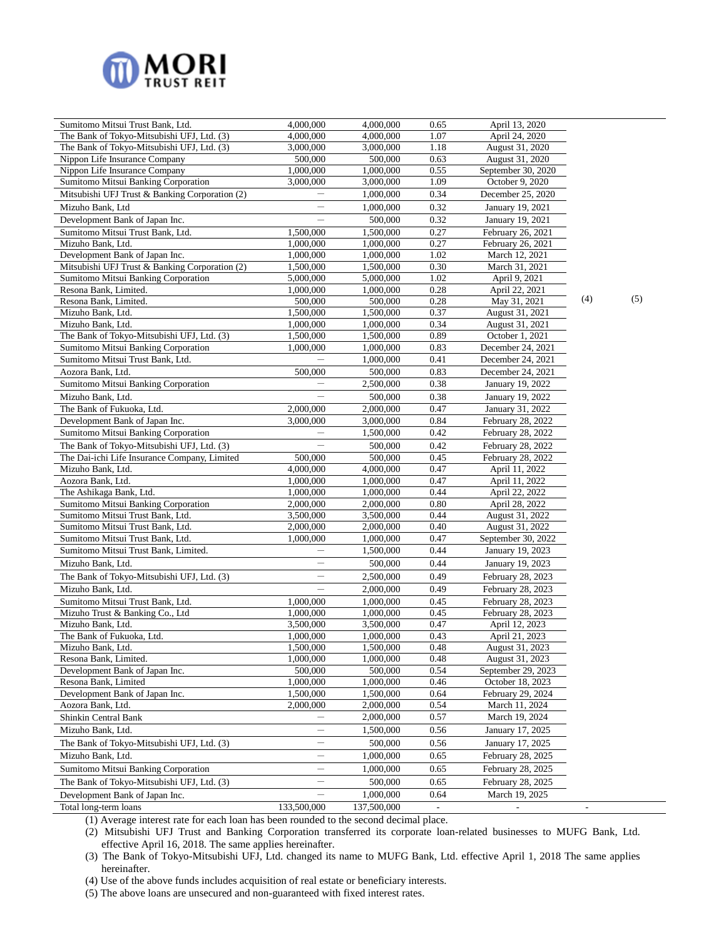

| Sumitomo Mitsui Trust Bank, Ltd.               | 4,000,000                | 4,000,000   |                          |                    |     |
|------------------------------------------------|--------------------------|-------------|--------------------------|--------------------|-----|
|                                                |                          |             | 0.65                     | April 13, 2020     |     |
| The Bank of Tokyo-Mitsubishi UFJ, Ltd. (3)     | 4,000,000                | 4,000,000   | 1.07                     | April 24, 2020     |     |
| The Bank of Tokyo-Mitsubishi UFJ, Ltd. (3)     | 3,000,000                | 3,000,000   | 1.18                     | August 31, 2020    |     |
| Nippon Life Insurance Company                  | 500,000                  | 500,000     | 0.63                     | August 31, 2020    |     |
| Nippon Life Insurance Company                  | 1,000,000                | 1,000,000   | 0.55                     | September 30, 2020 |     |
| Sumitomo Mitsui Banking Corporation            | 3,000,000                | 3,000,000   | 1.09                     | October 9, 2020    |     |
| Mitsubishi UFJ Trust & Banking Corporation (2) |                          | 1,000,000   | 0.34                     | December 25, 2020  |     |
| Mizuho Bank, Ltd                               | $\overline{\phantom{0}}$ | 1,000,000   | 0.32                     | January 19, 2021   |     |
| Development Bank of Japan Inc.                 |                          | 500,000     | 0.32                     | January 19, 2021   |     |
| Sumitomo Mitsui Trust Bank, Ltd.               | 1,500,000                | 1,500,000   | 0.27                     | February 26, 2021  |     |
| Mizuho Bank, Ltd.                              | 1,000,000                | 1.000.000   | 0.27                     | February 26, 2021  |     |
| Development Bank of Japan Inc.                 | 1.000.000                | 1,000,000   | 1.02                     | March 12, 2021     |     |
| Mitsubishi UFJ Trust & Banking Corporation (2) | 1,500,000                | 1,500,000   | 0.30                     | March 31, 2021     |     |
| Sumitomo Mitsui Banking Corporation            | 5,000,000                | 5,000,000   | 1.02                     | April 9, 2021      |     |
| Resona Bank, Limited.                          | 1,000,000                | 1,000,000   | 0.28                     | April 22, 2021     |     |
| Resona Bank, Limited.                          | 500,000                  | 500,000     | 0.28                     | May 31, 2021       | (4) |
| Mizuho Bank, Ltd.                              | 1,500,000                | 1,500,000   | 0.37                     | August 31, 2021    |     |
| Mizuho Bank, Ltd.                              | 1,000,000                | 1,000,000   | 0.34                     |                    |     |
|                                                |                          |             | 0.89                     | August 31, 2021    |     |
| The Bank of Tokyo-Mitsubishi UFJ, Ltd. (3)     | 1,500,000                | 1,500,000   |                          | October 1, 2021    |     |
| Sumitomo Mitsui Banking Corporation            | 1,000,000                | 1,000,000   | 0.83                     | December 24, 2021  |     |
| Sumitomo Mitsui Trust Bank, Ltd.               |                          | 1,000,000   | 0.41                     | December 24, 2021  |     |
| Aozora Bank, Ltd.                              | 500,000                  | 500,000     | 0.83                     | December 24, 2021  |     |
| Sumitomo Mitsui Banking Corporation            |                          | 2,500,000   | 0.38                     | January 19, 2022   |     |
| Mizuho Bank, Ltd.                              |                          | 500,000     | 0.38                     | January 19, 2022   |     |
| The Bank of Fukuoka, Ltd.                      | 2,000,000                | 2,000,000   | 0.47                     | January 31, 2022   |     |
| Development Bank of Japan Inc.                 | 3,000,000                | 3,000,000   | 0.84                     | February 28, 2022  |     |
| Sumitomo Mitsui Banking Corporation            |                          | 1,500,000   | 0.42                     | February 28, 2022  |     |
| The Bank of Tokyo-Mitsubishi UFJ, Ltd. (3)     |                          | 500,000     | 0.42                     | February 28, 2022  |     |
| The Dai-ichi Life Insurance Company, Limited   | 500,000                  |             |                          | February 28, 2022  |     |
|                                                |                          | 500,000     | 0.45                     |                    |     |
| Mizuho Bank, Ltd.                              | 4,000,000                | 4,000,000   | 0.47                     | April 11, 2022     |     |
| Aozora Bank, Ltd.                              | 1,000,000                | 1,000,000   | 0.47                     | April 11, 2022     |     |
| The Ashikaga Bank, Ltd.                        | 1,000,000                | 1,000,000   | 0.44                     | April 22, 2022     |     |
| Sumitomo Mitsui Banking Corporation            | 2,000,000                | 2,000,000   | 0.80                     | April 28, 2022     |     |
| Sumitomo Mitsui Trust Bank, Ltd.               | 3,500,000                | 3,500,000   | 0.44                     | August 31, 2022    |     |
| Sumitomo Mitsui Trust Bank, Ltd.               | 2,000,000                | 2,000,000   | 0.40                     | August 31, 2022    |     |
| Sumitomo Mitsui Trust Bank, Ltd.               | 1,000,000                | 1,000,000   | 0.47                     | September 30, 2022 |     |
| Sumitomo Mitsui Trust Bank, Limited.           |                          | 1,500,000   | 0.44                     | January 19, 2023   |     |
| Mizuho Bank, Ltd.                              | $\overline{\phantom{0}}$ | 500,000     | 0.44                     | January 19, 2023   |     |
| The Bank of Tokyo-Mitsubishi UFJ, Ltd. (3)     |                          | 2,500,000   | 0.49                     | February 28, 2023  |     |
| Mizuho Bank, Ltd.                              |                          | 2,000,000   | 0.49                     | February 28, 2023  |     |
| Sumitomo Mitsui Trust Bank, Ltd.               | 1,000,000                | 1,000,000   | 0.45                     | February 28, 2023  |     |
| Mizuho Trust & Banking Co., Ltd                | 1,000,000                | 1,000,000   | 0.45                     | February 28, 2023  |     |
| Mizuho Bank, Ltd.                              | 3,500,000                | 3,500,000   | 0.47                     | April 12, 2023     |     |
| The Bank of Fukuoka, Ltd.                      | 1,000,000                | 1,000,000   | 0.43                     | April 21, 2023     |     |
|                                                | 1.500.000                |             | 0.48                     | August 31, 2023    |     |
| Mizuho Bank. Ltd.                              |                          | 1.500.000   |                          |                    |     |
| Resona Bank, Limited.                          | 1,000,000                | 1,000,000   | 0.48                     | August 31, 2023    |     |
| Development Bank of Japan Inc.                 | 500,000                  | 500,000     | 0.54                     | September 29, 2023 |     |
| Resona Bank, Limited                           | 1,000,000                | 1.000.000   | 0.46                     | October 18, 2023   |     |
| Development Bank of Japan Inc.                 | 1,500,000                | 1,500,000   | 0.64                     | February 29, 2024  |     |
| Aozora Bank, Ltd.                              | 2,000,000                | 2,000,000   | 0.54                     | March 11, 2024     |     |
| Shinkin Central Bank                           |                          | 2,000,000   | 0.57                     | March 19, 2024     |     |
| Mizuho Bank, Ltd.                              | $\qquad \qquad -$        | 1,500,000   | 0.56                     | January 17, 2025   |     |
| The Bank of Tokyo-Mitsubishi UFJ, Ltd. (3)     |                          | 500,000     | 0.56                     | January 17, 2025   |     |
| Mizuho Bank, Ltd.                              | $\qquad \qquad -$        | 1,000,000   | 0.65                     | February 28, 2025  |     |
|                                                |                          |             |                          |                    |     |
| Sumitomo Mitsui Banking Corporation            | $\qquad \qquad -$        | 1,000,000   | 0.65                     | February 28, 2025  |     |
| The Bank of Tokyo-Mitsubishi UFJ, Ltd. (3)     |                          | 500,000     | 0.65                     | February 28, 2025  |     |
| Development Bank of Japan Inc.                 | $\qquad \qquad -$        | 1,000,000   | 0.64                     | March 19, 2025     |     |
| Total long-term loans                          | 133,500,000              | 137,500,000 | $\overline{\phantom{a}}$ |                    |     |

(1) Average interest rate for each loan has been rounded to the second decimal place.

(2) Mitsubishi UFJ Trust and Banking Corporation transferred its corporate loan-related businesses to MUFG Bank, Ltd. effective April 16, 2018. The same applies hereinafter.

(3) The Bank of Tokyo-Mitsubishi UFJ, Ltd. changed its name to MUFG Bank, Ltd. effective April 1, 2018 The same applies hereinafter.

(4) Use of the above funds includes acquisition of real estate or beneficiary interests.

(5) The above loans are unsecured and non-guaranteed with fixed interest rates.

 $(4)$  (5)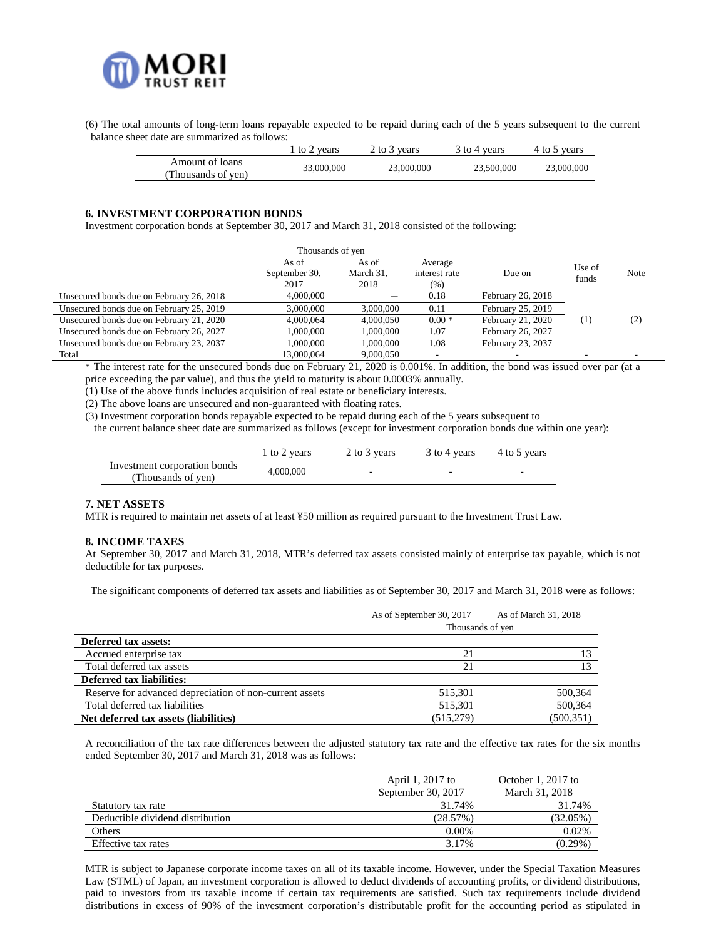

(6) The total amounts of long-term loans repayable expected to be repaid during each of the 5 years subsequent to the current balance sheet date are summarized as follows:

|                    | to 2 vears | 2 to 3 years | 3 to 4 years | 4 to 5 years |
|--------------------|------------|--------------|--------------|--------------|
| Amount of loans    | 33,000,000 | 23,000,000   | 23,500,000   | 23,000,000   |
| (Thousands of yen) |            |              |              |              |

#### **6. INVESTMENT CORPORATION BONDS**

Investment corporation bonds at September 30, 2017 and March 31, 2018 consisted of the following:

|                                          | Thousands of yen               |                            |                                 |                   |                 |      |
|------------------------------------------|--------------------------------|----------------------------|---------------------------------|-------------------|-----------------|------|
|                                          | As of<br>September 30,<br>2017 | As of<br>March 31,<br>2018 | Average<br>interest rate<br>(%) | Due on            | Use of<br>funds | Note |
| Unsecured bonds due on February 26, 2018 | 4,000,000                      |                            | 0.18                            | February 26, 2018 |                 |      |
| Unsecured bonds due on February 25, 2019 | 3,000,000                      | 3,000,000                  | 0.11                            | February 25, 2019 |                 |      |
| Unsecured bonds due on February 21, 2020 | 4,000,064                      | 4,000,050                  | $0.00*$                         | February 21, 2020 | (1)             | (2)  |
| Unsecured bonds due on February 26, 2027 | 1.000.000                      | 1.000.000                  | 1.07                            | February 26, 2027 |                 |      |
| Unsecured bonds due on February 23, 2037 | 1.000.000                      | 1.000.000                  | 1.08                            | February 23, 2037 |                 |      |
| Total                                    | 13,000,064                     | 9,000,050                  |                                 |                   |                 |      |

\* The interest rate for the unsecured bonds due on February 21, 2020 is 0.001%. In addition, the bond was issued over par (at a price exceeding the par value), and thus the yield to maturity is about 0.0003% annually.

(1) Use of the above funds includes acquisition of real estate or beneficiary interests.

(2) The above loans are unsecured and non-guaranteed with floating rates.

(3) Investment corporation bonds repayable expected to be repaid during each of the 5 years subsequent to

the current balance sheet date are summarized as follows (except for investment corporation bonds due within one year):

|                                                    | l to 2 years | 2 to 3 years             | 3 to 4 years | 4 to 5 years |
|----------------------------------------------------|--------------|--------------------------|--------------|--------------|
| Investment corporation bonds<br>(Thousands of yen) | 4,000,000    | $\overline{\phantom{a}}$ |              |              |

### **7. NET ASSETS**

MTR is required to maintain net assets of at least ¥50 million as required pursuant to the Investment Trust Law.

#### **8. INCOME TAXES**

At September 30, 2017 and March 31, 2018, MTR's deferred tax assets consisted mainly of enterprise tax payable, which is not deductible for tax purposes.

The significant components of deferred tax assets and liabilities as of September 30, 2017 and March 31, 2018 were as follows:

|                                                         | As of September 30, 2017<br>As of March 31, 2018<br>Thousands of yen |            |
|---------------------------------------------------------|----------------------------------------------------------------------|------------|
|                                                         |                                                                      |            |
| <b>Deferred tax assets:</b>                             |                                                                      |            |
| Accrued enterprise tax                                  | 21                                                                   |            |
| Total deferred tax assets                               | 21                                                                   |            |
| <b>Deferred tax liabilities:</b>                        |                                                                      |            |
| Reserve for advanced depreciation of non-current assets | 515,301                                                              | 500,364    |
| Total deferred tax liabilities                          | 515,301                                                              | 500,364    |
| Net deferred tax assets (liabilities)                   | (515, 279)                                                           | (500, 351) |

A reconciliation of the tax rate differences between the adjusted statutory tax rate and the effective tax rates for the six months ended September 30, 2017 and March 31, 2018 was as follows:

|                                  | April 1, 2017 to<br>September 30, 2017 | October 1, 2017 to<br>March 31, 2018 |
|----------------------------------|----------------------------------------|--------------------------------------|
|                                  |                                        |                                      |
| Statutory tax rate               | 31.74%                                 | 31.74%                               |
| Deductible dividend distribution | (28.57%)                               | (32.05%)                             |
| <b>Others</b>                    | $0.00\%$                               | $0.02\%$                             |
| Effective tax rates              | 3.17%                                  | $(0.29\%)$                           |

MTR is subject to Japanese corporate income taxes on all of its taxable income. However, under the Special Taxation Measures Law (STML) of Japan, an investment corporation is allowed to deduct dividends of accounting profits, or dividend distributions, paid to investors from its taxable income if certain tax requirements are satisfied. Such tax requirements include dividend distributions in excess of 90% of the investment corporation's distributable profit for the accounting period as stipulated in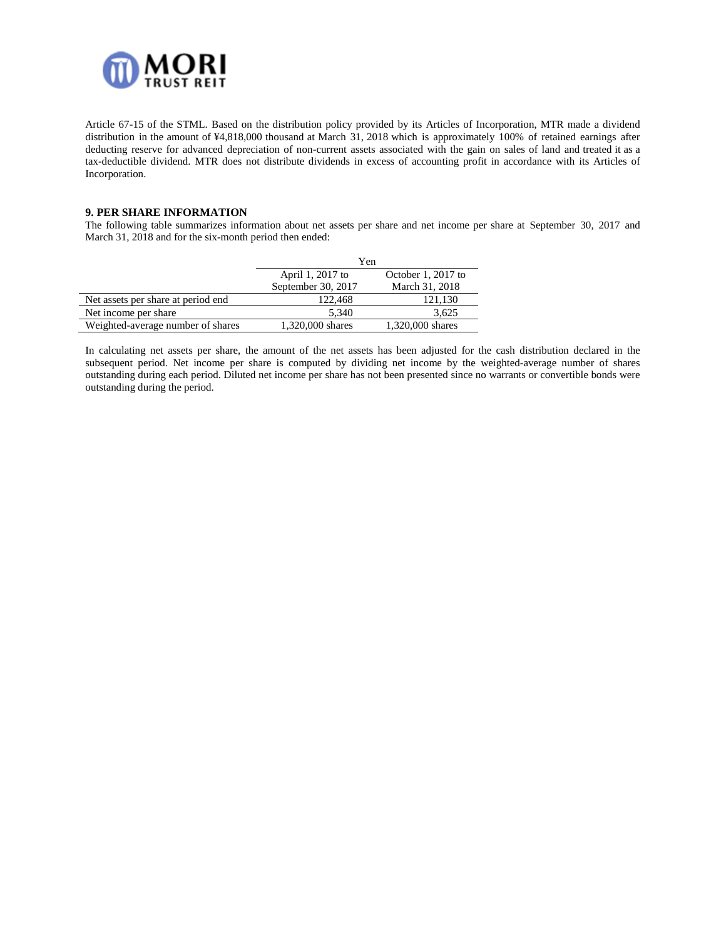

Article 67-15 of the STML. Based on the distribution policy provided by its Articles of Incorporation, MTR made a dividend distribution in the amount of ¥4,818,000 thousand at March 31, 2018 which is approximately 100% of retained earnings after deducting reserve for advanced depreciation of non-current assets associated with the gain on sales of land and treated it as a tax-deductible dividend. MTR does not distribute dividends in excess of accounting profit in accordance with its Articles of Incorporation.

### **9. PER SHARE INFORMATION**

The following table summarizes information about net assets per share and net income per share at September 30, 2017 and March 31, 2018 and for the six-month period then ended:

|                                     | Yen                |                    |
|-------------------------------------|--------------------|--------------------|
|                                     | April 1, 2017 to   | October 1, 2017 to |
|                                     | September 30, 2017 | March 31, 2018     |
| Net assets per share at period end. | 122,468            | 121.130            |
| Net income per share                | 5.340              | 3.625              |
| Weighted-average number of shares   | 1,320,000 shares   | 1,320,000 shares   |

In calculating net assets per share, the amount of the net assets has been adjusted for the cash distribution declared in the subsequent period. Net income per share is computed by dividing net income by the weighted-average number of shares outstanding during each period. Diluted net income per share has not been presented since no warrants or convertible bonds were outstanding during the period.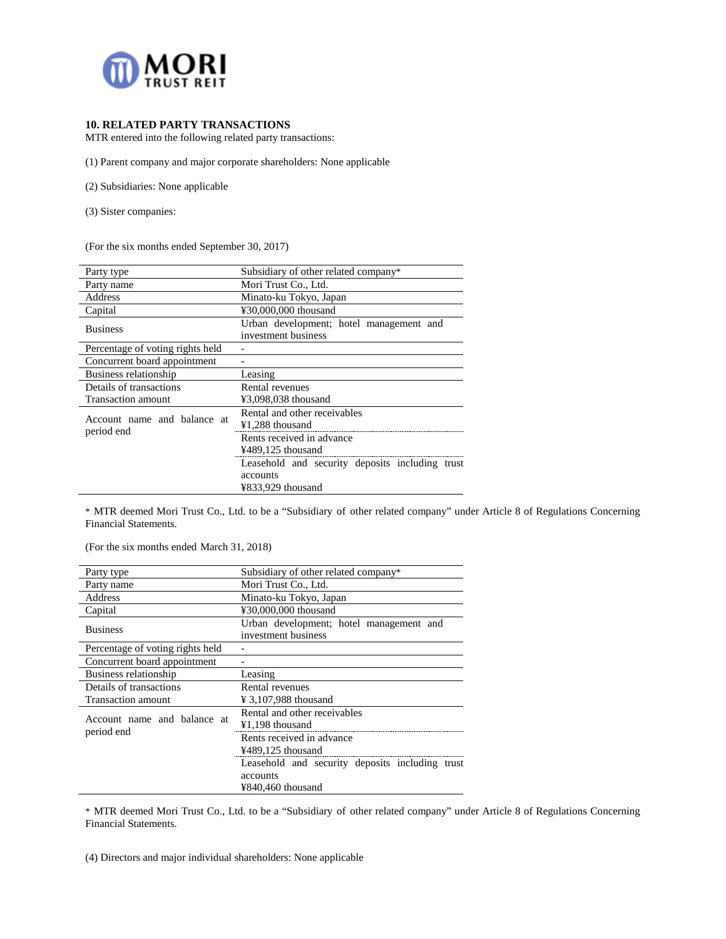

### **10. RELATED PARTY TRANSACTIONS**

MTR entered into the following related party transactions:

(1) Parent company and major corporate shareholders: None applicable

- (2) Subsidiaries: None applicable
- (3) Sister companies:

(For the six months ended September 30, 2017)

| Party type                       | Subsidiary of other related company*            |  |  |
|----------------------------------|-------------------------------------------------|--|--|
| Party name                       | Mori Trust Co., Ltd.                            |  |  |
| Address                          | Minato-ku Tokyo, Japan                          |  |  |
| Capital                          | ¥30,000,000 thousand                            |  |  |
| <b>Business</b>                  | Urban development; hotel management and         |  |  |
|                                  | investment business                             |  |  |
| Percentage of voting rights held |                                                 |  |  |
| Concurrent board appointment     |                                                 |  |  |
| Business relationship            | Leasing                                         |  |  |
| Details of transactions          | Rental revenues                                 |  |  |
| Transaction amount               | ¥3,098,038 thousand                             |  |  |
| Account name and balance at      | Rental and other receivables                    |  |  |
| period end                       | ¥1,288 thousand                                 |  |  |
|                                  | Rents received in advance                       |  |  |
|                                  | ¥489,125 thousand                               |  |  |
|                                  | Leasehold and security deposits including trust |  |  |
|                                  | accounts                                        |  |  |
|                                  | ¥833,929 thousand                               |  |  |

\* MTR deemed Mori Trust Co., Ltd. to be a "Subsidiary of other related company" under Article 8 of Regulations Concerning Financial Statements.

(For the six months ended March 31, 2018)

| Party type                       | Subsidiary of other related company*            |  |  |
|----------------------------------|-------------------------------------------------|--|--|
| Party name                       | Mori Trust Co., Ltd.                            |  |  |
| Address                          | Minato-ku Tokyo, Japan                          |  |  |
| Capital                          | ¥30,000,000 thousand                            |  |  |
| <b>Business</b>                  | Urban development; hotel management and         |  |  |
|                                  | investment business                             |  |  |
| Percentage of voting rights held |                                                 |  |  |
| Concurrent board appointment     |                                                 |  |  |
| Business relationship            | Leasing                                         |  |  |
| Details of transactions          | Rental revenues                                 |  |  |
| Transaction amount               | $\textnormal{\textbf{4}}\,3.107.988$ thousand   |  |  |
|                                  | Rental and other receivables                    |  |  |
| Account name and balance at      | ¥1,198 thousand                                 |  |  |
| period end                       | Rents received in advance                       |  |  |
|                                  | ¥489,125 thousand                               |  |  |
|                                  | Leasehold and security deposits including trust |  |  |
|                                  | accounts                                        |  |  |
|                                  | ¥840,460 thousand                               |  |  |

\* MTR deemed Mori Trust Co., Ltd. to be a "Subsidiary of other related company" under Article 8 of Regulations Concerning Financial Statements.

(4) Directors and major individual shareholders: None applicable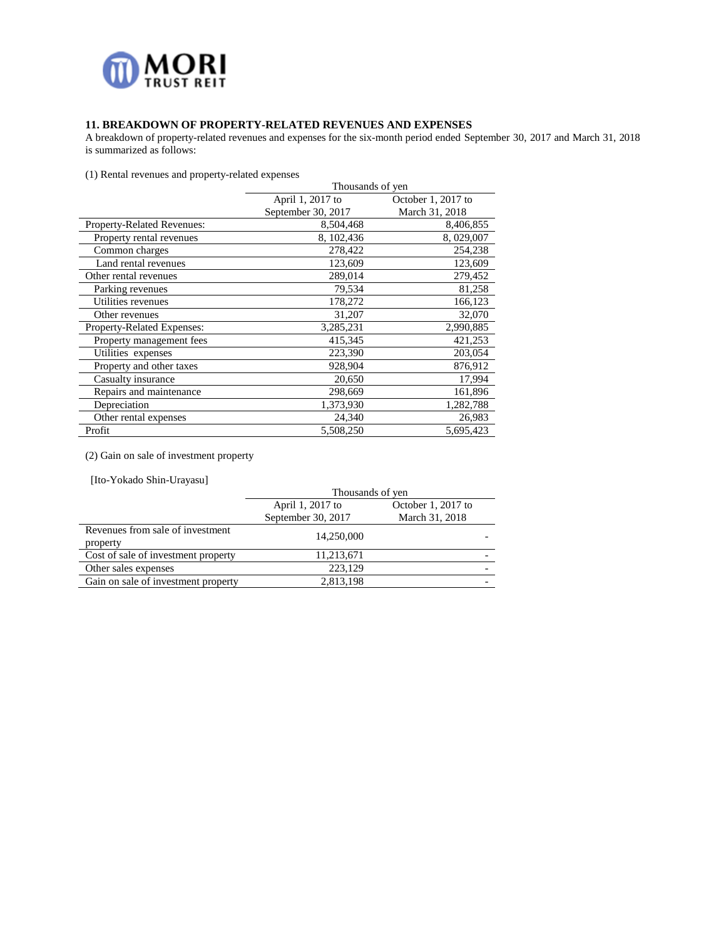

## **11. BREAKDOWN OF PROPERTY-RELATED REVENUES AND EXPENSES**

A breakdown of property-related revenues and expenses for the six-month period ended September 30, 2017 and March 31, 2018 is summarized as follows:

(1) Rental revenues and property-related expenses

| $(1)$ retain revenues and property retailed expenses | Thousands of yen                       |                |  |
|------------------------------------------------------|----------------------------------------|----------------|--|
|                                                      | April 1, 2017 to<br>October 1, 2017 to |                |  |
|                                                      | September 30, 2017                     | March 31, 2018 |  |
| <b>Property-Related Revenues:</b>                    | 8,504,468                              | 8,406,855      |  |
| Property rental revenues                             | 8, 102, 436                            | 8,029,007      |  |
| Common charges                                       | 278,422                                | 254,238        |  |
| Land rental revenues                                 | 123,609                                | 123,609        |  |
| Other rental revenues                                | 289,014                                | 279,452        |  |
| Parking revenues                                     | 79,534                                 | 81,258         |  |
| Utilities revenues                                   | 178,272                                | 166,123        |  |
| Other revenues                                       | 31,207                                 | 32,070         |  |
| Property-Related Expenses:                           | 3,285,231                              | 2,990,885      |  |
| Property management fees                             | 415,345                                | 421,253        |  |
| Utilities expenses                                   | 223,390                                | 203,054        |  |
| Property and other taxes                             | 928,904                                | 876,912        |  |
| Casualty insurance                                   | 20,650                                 | 17,994         |  |
| Repairs and maintenance                              | 298,669                                | 161,896        |  |
| Depreciation                                         | 1,373,930                              | 1,282,788      |  |
| Other rental expenses                                | 24,340                                 | 26,983         |  |
| Profit                                               | 5,508,250                              | 5,695,423      |  |

(2) Gain on sale of investment property

[Ito-Yokado Shin-Urayasu]

|                                     | Thousands of yen   |                    |  |
|-------------------------------------|--------------------|--------------------|--|
|                                     | April 1, 2017 to   | October 1, 2017 to |  |
|                                     | September 30, 2017 | March 31, 2018     |  |
| Revenues from sale of investment    | 14.250,000         |                    |  |
| property                            |                    |                    |  |
| Cost of sale of investment property | 11,213,671         |                    |  |
| Other sales expenses                | 223.129            |                    |  |
| Gain on sale of investment property | 2,813,198          |                    |  |
|                                     |                    |                    |  |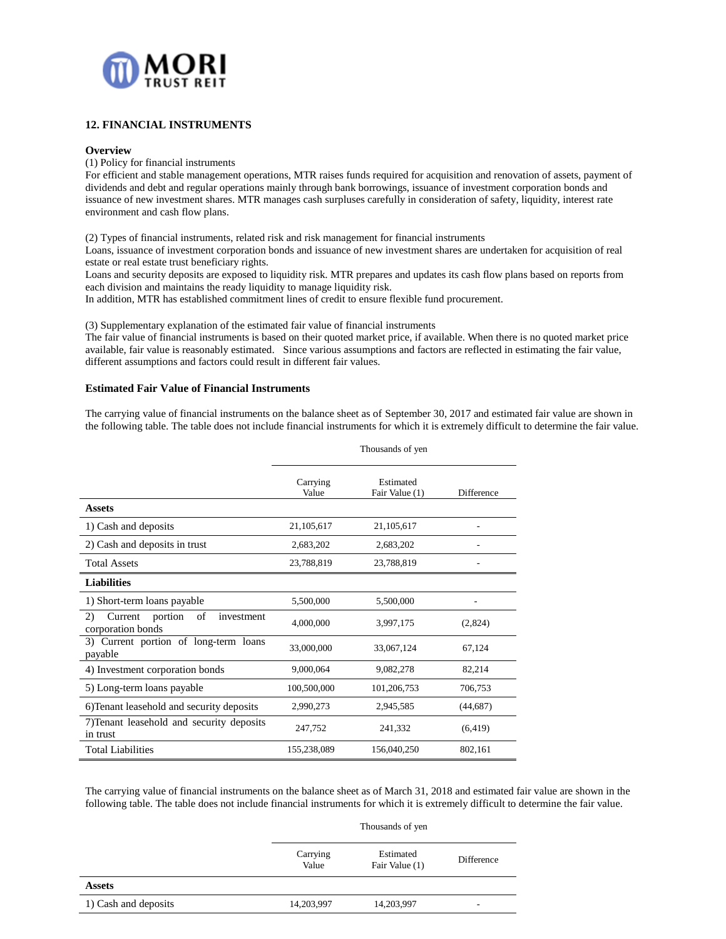

### **12. FINANCIAL INSTRUMENTS**

#### **Overview**

(1) Policy for financial instruments

For efficient and stable management operations, MTR raises funds required for acquisition and renovation of assets, payment of dividends and debt and regular operations mainly through bank borrowings, issuance of investment corporation bonds and issuance of new investment shares. MTR manages cash surpluses carefully in consideration of safety, liquidity, interest rate environment and cash flow plans.

(2) Types of financial instruments, related risk and risk management for financial instruments

Loans, issuance of investment corporation bonds and issuance of new investment shares are undertaken for acquisition of real estate or real estate trust beneficiary rights.

Loans and security deposits are exposed to liquidity risk. MTR prepares and updates its cash flow plans based on reports from each division and maintains the ready liquidity to manage liquidity risk.

In addition, MTR has established commitment lines of credit to ensure flexible fund procurement.

(3) Supplementary explanation of the estimated fair value of financial instruments

The fair value of financial instruments is based on their quoted market price, if available. When there is no quoted market price available, fair value is reasonably estimated. Since various assumptions and factors are reflected in estimating the fair value, different assumptions and factors could result in different fair values.

### **Estimated Fair Value of Financial Instruments**

The carrying value of financial instruments on the balance sheet as of September 30, 2017 and estimated fair value are shown in the following table. The table does not include financial instruments for which it is extremely difficult to determine the fair value.

|                                                                   | Carrying<br>Value | Estimated<br>Fair Value (1) | Difference |
|-------------------------------------------------------------------|-------------------|-----------------------------|------------|
| <b>Assets</b>                                                     |                   |                             |            |
| 1) Cash and deposits                                              | 21, 105, 617      | 21, 105, 617                |            |
| 2) Cash and deposits in trust                                     | 2,683,202         | 2,683,202                   |            |
| <b>Total Assets</b>                                               | 23,788,819        | 23,788,819                  |            |
| <b>Liabilities</b>                                                |                   |                             |            |
| 1) Short-term loans payable                                       | 5,500,000         | 5,500,000                   |            |
| 2)<br>portion<br>investment<br>Current<br>of<br>corporation bonds | 4,000,000         | 3.997.175                   | (2,824)    |
| Current portion of long-term loans<br>3)<br>payable               | 33,000,000        | 33,067,124                  | 67,124     |
| 4) Investment corporation bonds                                   | 9,000,064         | 9,082,278                   | 82,214     |
| 5) Long-term loans payable                                        | 100,500,000       | 101,206,753                 | 706,753    |
| 6) Tenant leasehold and security deposits                         | 2,990,273         | 2,945,585                   | (44, 687)  |
| 7) Tenant leasehold and security deposits<br>in trust             | 247,752           | 241,332                     | (6, 419)   |
| <b>Total Liabilities</b>                                          | 155,238,089       | 156,040,250                 | 802.161    |

Thousands of yen

The carrying value of financial instruments on the balance sheet as of March 31, 2018 and estimated fair value are shown in the following table. The table does not include financial instruments for which it is extremely difficult to determine the fair value.

Thousands of yen

|                      | Carrying<br>Value | Estimated<br>Fair Value (1) | Difference |
|----------------------|-------------------|-----------------------------|------------|
| <b>Assets</b>        |                   |                             |            |
| 1) Cash and deposits | 14,203,997        | 14,203,997                  | -          |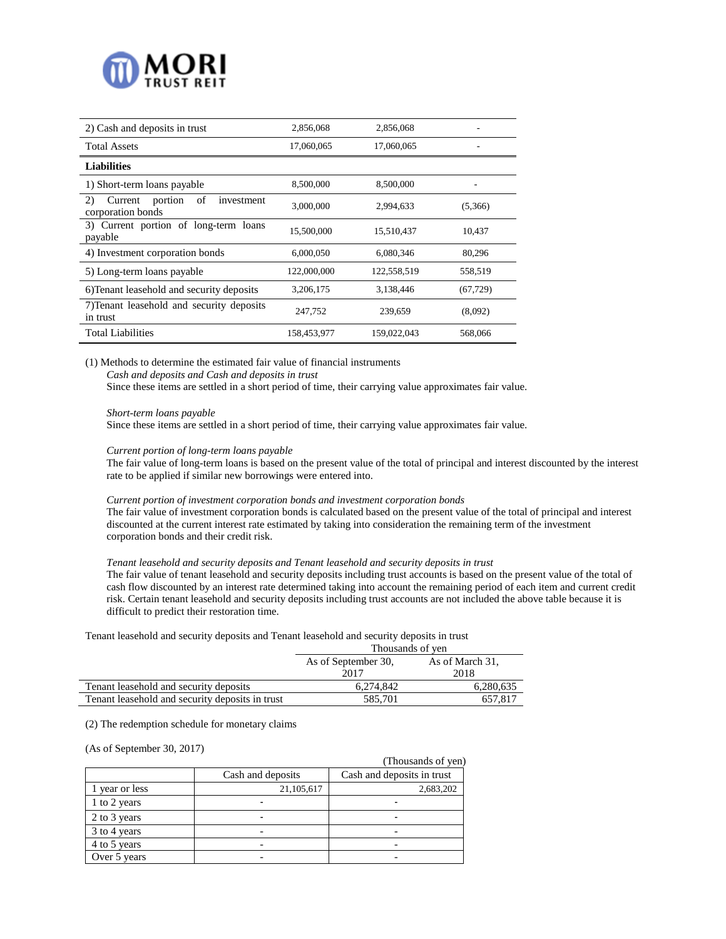

| 2) Cash and deposits in trust                                     | 2,856,068   | 2,856,068   |           |
|-------------------------------------------------------------------|-------------|-------------|-----------|
| <b>Total Assets</b>                                               | 17,060,065  | 17,060,065  |           |
| <b>Liabilities</b>                                                |             |             |           |
| 1) Short-term loans payable                                       | 8,500,000   | 8,500,000   |           |
| 2)<br>portion<br>investment<br>Current<br>of<br>corporation bonds | 3,000,000   | 2,994,633   | (5,366)   |
| 3) Current portion of long-term loans<br>payable                  | 15,500,000  | 15,510,437  | 10,437    |
| 4) Investment corporation bonds                                   | 6,000,050   | 6,080,346   | 80,296    |
| 5) Long-term loans payable                                        | 122,000,000 | 122,558,519 | 558,519   |
| 6) Tenant leasehold and security deposits                         | 3,206,175   | 3,138,446   | (67, 729) |
| 7) Tenant leasehold and security deposits<br>in trust             | 247,752     | 239,659     | (8,092)   |
| <b>Total Liabilities</b>                                          | 158,453,977 | 159,022,043 | 568,066   |

(1) Methods to determine the estimated fair value of financial instruments

*Cash and deposits and Cash and deposits in trust*

Since these items are settled in a short period of time, their carrying value approximates fair value.

*Short-term loans payable*

Since these items are settled in a short period of time, their carrying value approximates fair value.

#### *Current portion of long-term loans payable*

The fair value of long-term loans is based on the present value of the total of principal and interest discounted by the interest rate to be applied if similar new borrowings were entered into.

#### *Current portion of investment corporation bonds and investment corporation bonds*

The fair value of investment corporation bonds is calculated based on the present value of the total of principal and interest discounted at the current interest rate estimated by taking into consideration the remaining term of the investment corporation bonds and their credit risk.

#### *Tenant leasehold and security deposits and Tenant leasehold and security deposits in trust*

The fair value of tenant leasehold and security deposits including trust accounts is based on the present value of the total of cash flow discounted by an interest rate determined taking into account the remaining period of each item and current credit risk. Certain tenant leasehold and security deposits including trust accounts are not included the above table because it is difficult to predict their restoration time.

Tenant leasehold and security deposits and Tenant leasehold and security deposits in trust

|                                                 | Thousands of yen    |                 |
|-------------------------------------------------|---------------------|-----------------|
|                                                 | As of September 30, | As of March 31, |
|                                                 | 2017                | 2018            |
| Tenant leasehold and security deposits          | 6.274.842           | 6,280,635       |
| Tenant leasehold and security deposits in trust | 585.701             | 657.817         |

#### (2) The redemption schedule for monetary claims

(As of September 30, 2017)

|                |                   | (Thousands of yen)         |
|----------------|-------------------|----------------------------|
|                | Cash and deposits | Cash and deposits in trust |
| 1 year or less | 21,105,617        | 2,683,202                  |
| 1 to 2 years   |                   |                            |
| 2 to 3 years   |                   |                            |
| 3 to 4 years   |                   |                            |
| 4 to 5 years   |                   |                            |
| Over 5 years   |                   |                            |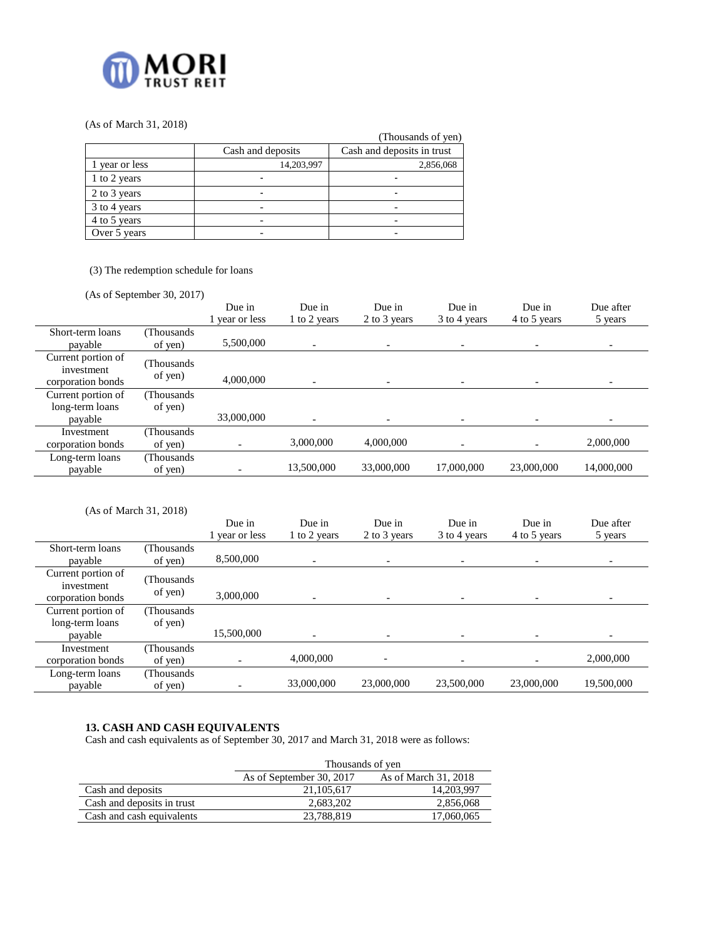

## (As of March 31, 2018)

|              |                   | (Thousands of yen)         |
|--------------|-------------------|----------------------------|
|              | Cash and deposits | Cash and deposits in trust |
| year or less | 14,203,997        | 2,856,068                  |
| 1 to 2 years |                   |                            |
| 2 to 3 years |                   |                            |
| 3 to 4 years |                   |                            |
| 4 to 5 years |                   |                            |
| Over 5 years |                   |                            |

### (3) The redemption schedule for loans

(As of September 30, 2017)

|                                                       |                       | Due in<br>1 year or less | Due in<br>1 to 2 years | Due in<br>2 to 3 years   | Due in<br>3 to 4 years | Due in<br>4 to 5 years   | Due after<br>5 years |
|-------------------------------------------------------|-----------------------|--------------------------|------------------------|--------------------------|------------------------|--------------------------|----------------------|
| Short-term loans<br>payable                           | Thousands<br>of yen)  | 5,500,000                |                        |                          |                        |                          |                      |
| Current portion of<br>investment<br>corporation bonds | Thousands<br>of yen)  | 4,000,000                |                        |                          |                        | $\overline{\phantom{a}}$ |                      |
| Current portion of<br>long-term loans<br>payable      | (Thousands<br>of yen) | 33,000,000               |                        | $\overline{\phantom{a}}$ |                        |                          |                      |
| Investment<br>corporation bonds                       | Thousands<br>of yen)  | $\overline{\phantom{0}}$ | 3,000,000              | 4,000,000                |                        |                          | 2,000,000            |
| Long-term loans<br>payable                            | Thousands<br>of yen)  |                          | 13,500,000             | 33,000,000               | 17,000,000             | 23,000,000               | 14,000,000           |

|                                                       | (As of March 31, 2018) |                          |                        |                        |                        |                        |                      |
|-------------------------------------------------------|------------------------|--------------------------|------------------------|------------------------|------------------------|------------------------|----------------------|
|                                                       |                        | Due in<br>1 year or less | Due in<br>1 to 2 years | Due in<br>2 to 3 years | Due in<br>3 to 4 years | Due in<br>4 to 5 years | Due after<br>5 years |
| Short-term loans<br>payable                           | (Thousands<br>of yen)  | 8,500,000                |                        |                        |                        |                        |                      |
| Current portion of<br>investment<br>corporation bonds | (Thousands<br>of yen)  | 3,000,000                |                        |                        |                        |                        |                      |
| Current portion of<br>long-term loans<br>payable      | (Thousands<br>of yen)  | 15,500,000               |                        |                        |                        |                        |                      |
| Investment<br>corporation bonds                       | (Thousands<br>of yen)  |                          | 4,000,000              |                        |                        |                        | 2,000,000            |
| Long-term loans<br>payable                            | (Thousands<br>of yen)  |                          | 33,000,000             | 23,000,000             | 23,500,000             | 23,000,000             | 19,500,000           |

## **13. CASH AND CASH EQUIVALENTS**

Cash and cash equivalents as of September 30, 2017 and March 31, 2018 were as follows:

|                            | Thousands of yen         |                      |
|----------------------------|--------------------------|----------------------|
|                            | As of September 30, 2017 | As of March 31, 2018 |
| Cash and deposits          | 21, 105, 617             | 14,203,997           |
| Cash and deposits in trust | 2,683,202                | 2,856,068            |
| Cash and cash equivalents  | 23,788,819               | 17,060,065           |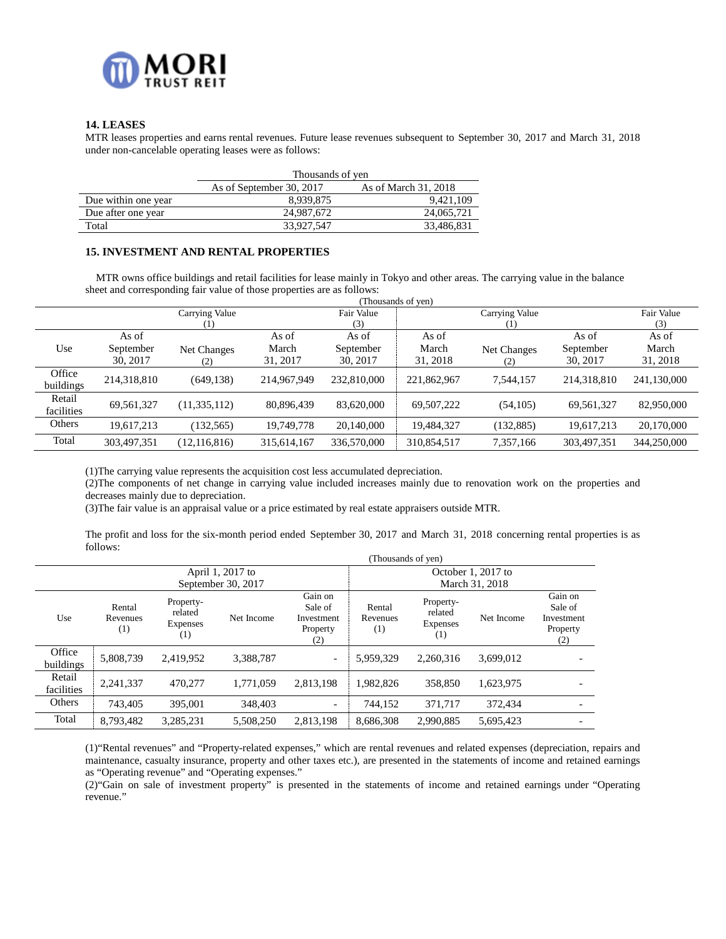

### **14. LEASES**

MTR leases properties and earns rental revenues. Future lease revenues subsequent to September 30, 2017 and March 31, 2018 under non-cancelable operating leases were as follows:

|                     | Thousands of yen         |                      |  |
|---------------------|--------------------------|----------------------|--|
|                     | As of September 30, 2017 | As of March 31, 2018 |  |
| Due within one year | 8,939,875                | 9,421,109            |  |
| Due after one year  | 24,987,672               | 24,065,721           |  |
| Total               | 33.927.547               | 33,486,831           |  |

### **15. INVESTMENT AND RENTAL PROPERTIES**

MTR owns office buildings and retail facilities for lease mainly in Tokyo and other areas. The carrying value in the balance sheet and corresponding fair value of those properties are as follows:

| Fair Value<br>Fair Value<br>Carrying Value<br>Carrying Value<br>(3)<br>(3)<br>(1)<br>(1)<br>As of<br>As of<br>As of<br>As of<br>As of<br>As of |  |
|------------------------------------------------------------------------------------------------------------------------------------------------|--|
|                                                                                                                                                |  |
|                                                                                                                                                |  |
|                                                                                                                                                |  |
| Use<br>March<br>March<br>March<br>September<br>September<br>September<br>Net Changes<br>Net Changes                                            |  |
| 30, 2017<br>31, 2017<br>31, 2018<br>30, 2017<br>31, 2018<br>30, 2017<br>(2)<br>(2)                                                             |  |
| Office<br>214,318,810<br>(649, 138)<br>232,810,000<br>221,862,967<br>241,130,000<br>214,967,949<br>7,544,157<br>214,318,810<br>buildings       |  |
| Retail<br>(11, 335, 112)<br>69,561,327<br>83,620,000<br>69.507.222<br>(54, 105)<br>69,561,327<br>82,950,000<br>80,896,439<br>facilities        |  |
| Others<br>19.617.213<br>(132, 565)<br>19,749,778<br>20,140,000<br>(132, 885)<br>19,617,213<br>20,170,000<br>19,484,327                         |  |
| Total<br>303,497,351<br>(12, 116, 816)<br>310,854,517<br>7,357,166<br>303,497,351<br>344,250,000<br>315,614,167<br>336,570,000                 |  |

(1)The carrying value represents the acquisition cost less accumulated depreciation.

(2)The components of net change in carrying value included increases mainly due to renovation work on the properties and decreases mainly due to depreciation.

(3)The fair value is an appraisal value or a price estimated by real estate appraisers outside MTR.

The profit and loss for the six-month period ended September 30, 2017 and March 31, 2018 concerning rental properties is as follows:

|                      | (Thousands of yen)        |                                         |                    |                                                     |                           |                                         |                    |                                                     |
|----------------------|---------------------------|-----------------------------------------|--------------------|-----------------------------------------------------|---------------------------|-----------------------------------------|--------------------|-----------------------------------------------------|
|                      |                           |                                         | April 1, 2017 to   |                                                     |                           |                                         | October 1, 2017 to |                                                     |
|                      |                           |                                         | September 30, 2017 |                                                     |                           |                                         | March 31, 2018     |                                                     |
| Use                  | Rental<br>Revenues<br>(1) | Property-<br>related<br>Expenses<br>(1) | Net Income         | Gain on<br>Sale of<br>Investment<br>Property<br>(2) | Rental<br>Revenues<br>(1) | Property-<br>related<br>Expenses<br>(1) | Net Income         | Gain on<br>Sale of<br>Investment<br>Property<br>(2) |
| Office<br>buildings  | 5,808,739                 | 2.419.952                               | 3.388.787          | $\overline{\phantom{a}}$                            | 5,959,329                 | 2.260.316                               | 3,699,012          |                                                     |
| Retail<br>facilities | 2,241,337                 | 470,277                                 | 1.771.059          | 2.813.198                                           | 1.982.826                 | 358,850                                 | 1,623,975          |                                                     |
| Others               | 743,405                   | 395.001                                 | 348,403            | $\overline{\phantom{a}}$                            | 744.152                   | 371.717                                 | 372,434            |                                                     |
| Total                | 8,793,482                 | 3,285,231                               | 5.508.250          | 2,813,198                                           | 8,686,308                 | 2,990,885                               | 5,695,423          |                                                     |

(1)"Rental revenues" and "Property-related expenses," which are rental revenues and related expenses (depreciation, repairs and maintenance, casualty insurance, property and other taxes etc.), are presented in the statements of income and retained earnings as "Operating revenue" and "Operating expenses."

(2)"Gain on sale of investment property" is presented in the statements of income and retained earnings under "Operating revenue."